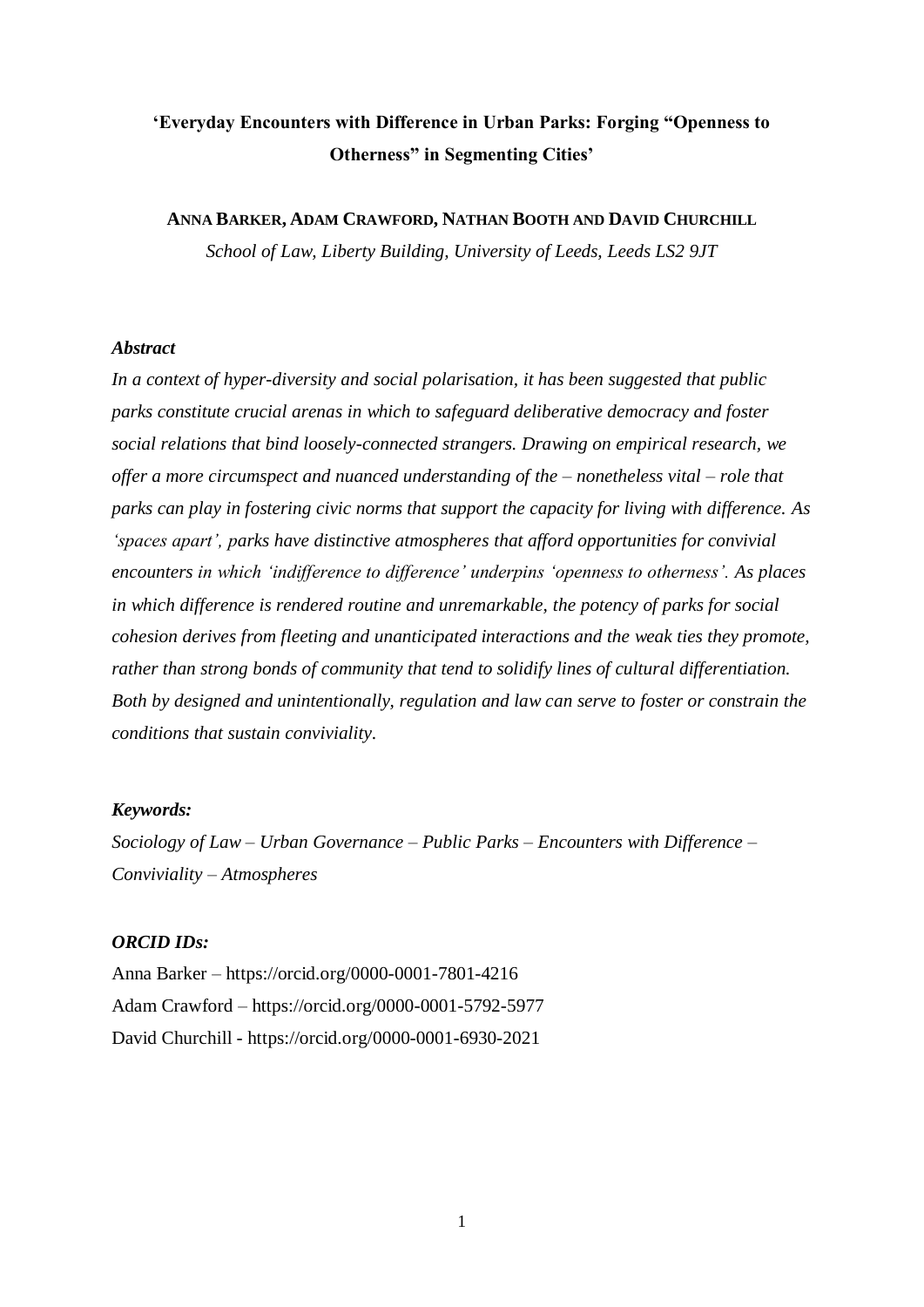# **'Everyday Encounters with Difference in Urban Parks: Forging "Openness to Otherness" in Segmenting Cities'**

**ANNA BARKER, ADAM CRAWFORD, NATHAN BOOTH AND DAVID CHURCHILL**

*School of Law, Liberty Building, University of Leeds, Leeds LS2 9JT*

## *Abstract*

*In a context of hyper-diversity and social polarisation, it has been suggested that public parks constitute crucial arenas in which to safeguard deliberative democracy and foster social relations that bind loosely-connected strangers. Drawing on empirical research, we offer a more circumspect and nuanced understanding of the – nonetheless vital – role that parks can play in fostering civic norms that support the capacity for living with difference. As 'spaces apart', parks have distinctive atmospheres that afford opportunities for convivial encounters in which 'indifference to difference' underpins 'openness to otherness'. As places in which difference is rendered routine and unremarkable, the potency of parks for social cohesion derives from fleeting and unanticipated interactions and the weak ties they promote, rather than strong bonds of community that tend to solidify lines of cultural differentiation. Both by designed and unintentionally, regulation and law can serve to foster or constrain the conditions that sustain conviviality.*

## *Keywords:*

*Sociology of Law – Urban Governance – Public Parks – Encounters with Difference – Conviviality – Atmospheres*

# *ORCID IDs:*

Anna Barker – https://orcid.org[/0000-0001-7801-4216](https://orcid.org/0000-0001-7801-4216) Adam Crawford – https://orcid.org/0000-0001-5792-5977 David Churchill - https://orcid.org/0000-0001-6930-2021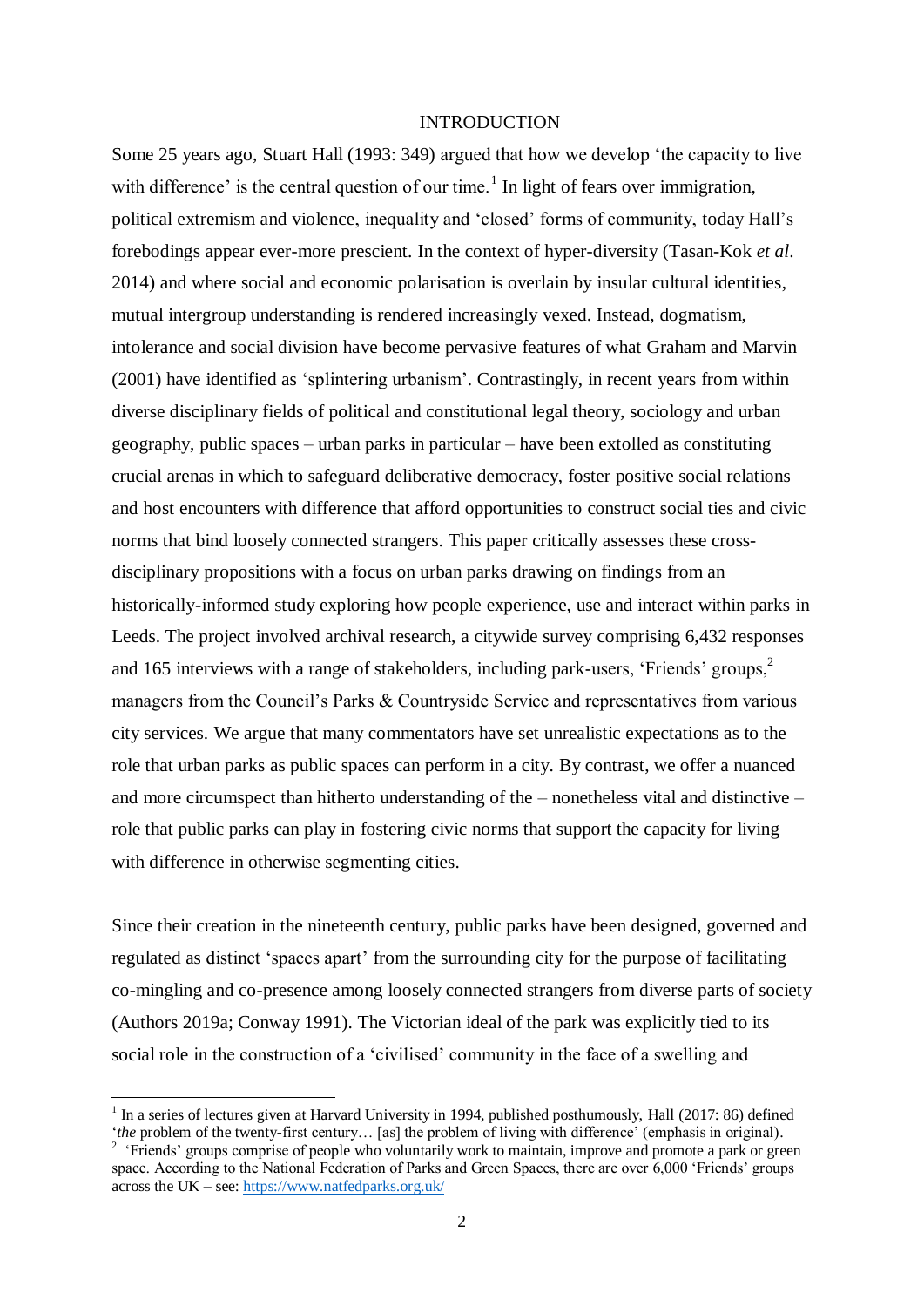#### INTRODUCTION

Some 25 years ago, Stuart Hall (1993: 349) argued that how we develop 'the capacity to live with difference' is the central question of our time.<sup>1</sup> In light of fears over immigration, political extremism and violence, inequality and 'closed' forms of community, today Hall's forebodings appear ever-more prescient. In the context of hyper-diversity (Tasan-Kok *et al*. 2014) and where social and economic polarisation is overlain by insular cultural identities, mutual intergroup understanding is rendered increasingly vexed. Instead, dogmatism, intolerance and social division have become pervasive features of what Graham and Marvin (2001) have identified as 'splintering urbanism'. Contrastingly, in recent years from within diverse disciplinary fields of political and constitutional legal theory, sociology and urban geography, public spaces – urban parks in particular – have been extolled as constituting crucial arenas in which to safeguard deliberative democracy, foster positive social relations and host encounters with difference that afford opportunities to construct social ties and civic norms that bind loosely connected strangers. This paper critically assesses these crossdisciplinary propositions with a focus on urban parks drawing on findings from an historically-informed study exploring how people experience, use and interact within parks in Leeds. The project involved archival research, a citywide survey comprising 6,432 responses and 165 interviews with a range of stakeholders, including park-users, 'Friends' groups,<sup>2</sup> managers from the Council's Parks & Countryside Service and representatives from various city services. We argue that many commentators have set unrealistic expectations as to the role that urban parks as public spaces can perform in a city. By contrast, we offer a nuanced and more circumspect than hitherto understanding of the – nonetheless vital and distinctive – role that public parks can play in fostering civic norms that support the capacity for living with difference in otherwise segmenting cities.

Since their creation in the nineteenth century, public parks have been designed, governed and regulated as distinct 'spaces apart' from the surrounding city for the purpose of facilitating co-mingling and co-presence among loosely connected strangers from diverse parts of society (Authors 2019a; Conway 1991). The Victorian ideal of the park was explicitly tied to its social role in the construction of a 'civilised' community in the face of a swelling and

 1 In a series of lectures given at Harvard University in 1994, published posthumously, Hall (2017: 86) defined '*the* problem of the twenty-first century… [as] the problem of living with difference' (emphasis in original).

<sup>&</sup>lt;sup>2</sup> 'Friends' groups comprise of people who voluntarily work to maintain, improve and promote a park or green space. According to the National Federation of Parks and Green Spaces, there are over 6,000 'Friends' groups across the UK – see[: https://www.natfedparks.org.uk/](https://www.natfedparks.org.uk/)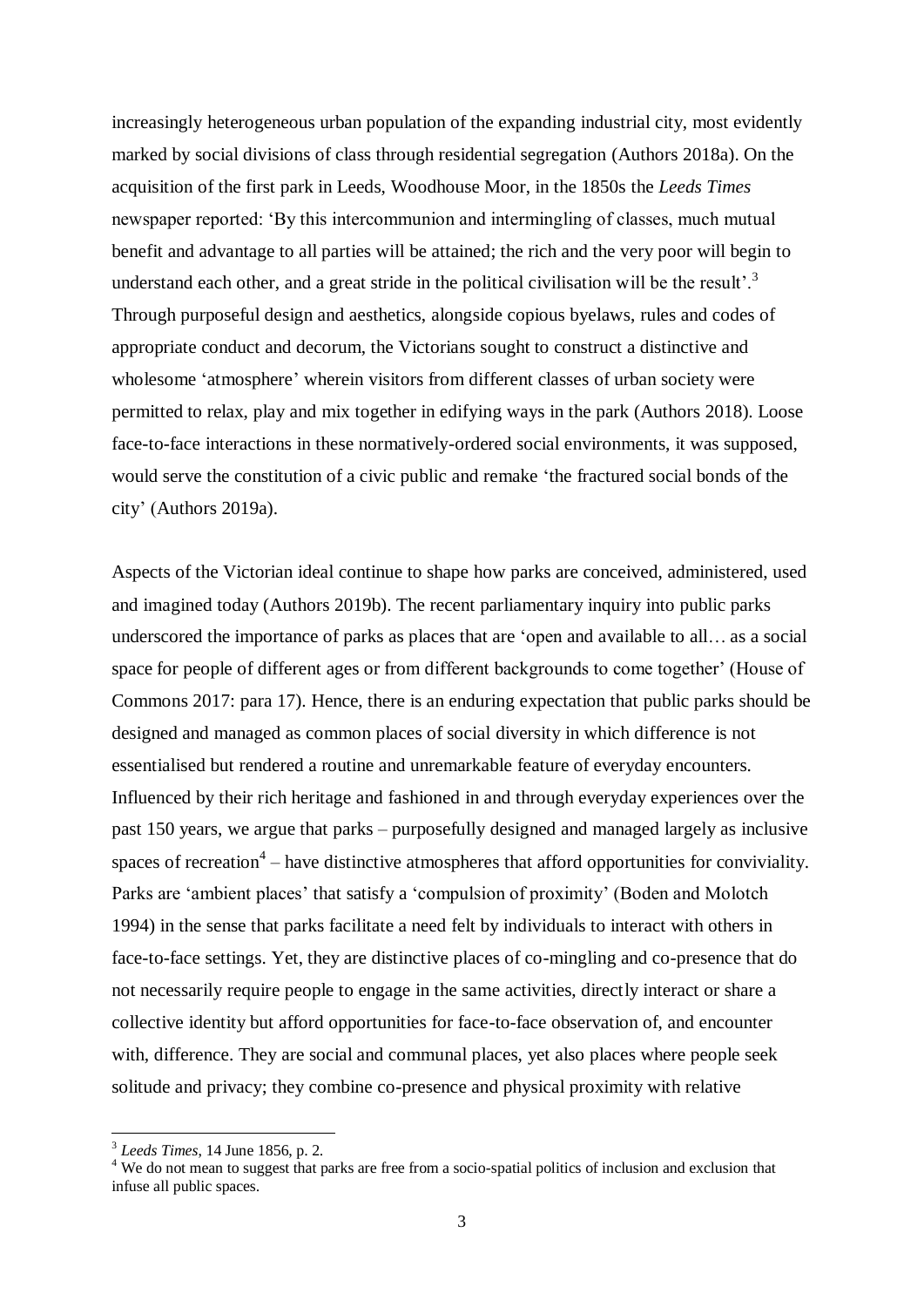increasingly heterogeneous urban population of the expanding industrial city, most evidently marked by social divisions of class through residential segregation (Authors 2018a). On the acquisition of the first park in Leeds, Woodhouse Moor, in the 1850s the *Leeds Times* newspaper reported: 'By this intercommunion and intermingling of classes, much mutual benefit and advantage to all parties will be attained; the rich and the very poor will begin to understand each other, and a great stride in the political civilisation will be the result'.<sup>3</sup> Through purposeful design and aesthetics, alongside copious byelaws, rules and codes of appropriate conduct and decorum, the Victorians sought to construct a distinctive and wholesome 'atmosphere' wherein visitors from different classes of urban society were permitted to relax, play and mix together in edifying ways in the park (Authors 2018). Loose face-to-face interactions in these normatively-ordered social environments, it was supposed, would serve the constitution of a civic public and remake 'the fractured social bonds of the city' (Authors 2019a).

Aspects of the Victorian ideal continue to shape how parks are conceived, administered, used and imagined today (Authors 2019b). The recent parliamentary inquiry into public parks underscored the importance of parks as places that are 'open and available to all… as a social space for people of different ages or from different backgrounds to come together' (House of Commons 2017: para 17). Hence, there is an enduring expectation that public parks should be designed and managed as common places of social diversity in which difference is not essentialised but rendered a routine and unremarkable feature of everyday encounters. Influenced by their rich heritage and fashioned in and through everyday experiences over the past 150 years, we argue that parks – purposefully designed and managed largely as inclusive spaces of recreation<sup>4</sup> – have distinctive atmospheres that afford opportunities for conviviality. Parks are 'ambient places' that satisfy a 'compulsion of proximity' (Boden and Molotch 1994) in the sense that parks facilitate a need felt by individuals to interact with others in face-to-face settings. Yet, they are distinctive places of co-mingling and co-presence that do not necessarily require people to engage in the same activities, directly interact or share a collective identity but afford opportunities for face-to-face observation of, and encounter with, difference. They are social and communal places, yet also places where people seek solitude and privacy; they combine co-presence and physical proximity with relative

<sup>3</sup> *Leeds Times*, 14 June 1856, p. 2.

<sup>&</sup>lt;sup>4</sup> We do not mean to suggest that parks are free from a socio-spatial politics of inclusion and exclusion that infuse all public spaces.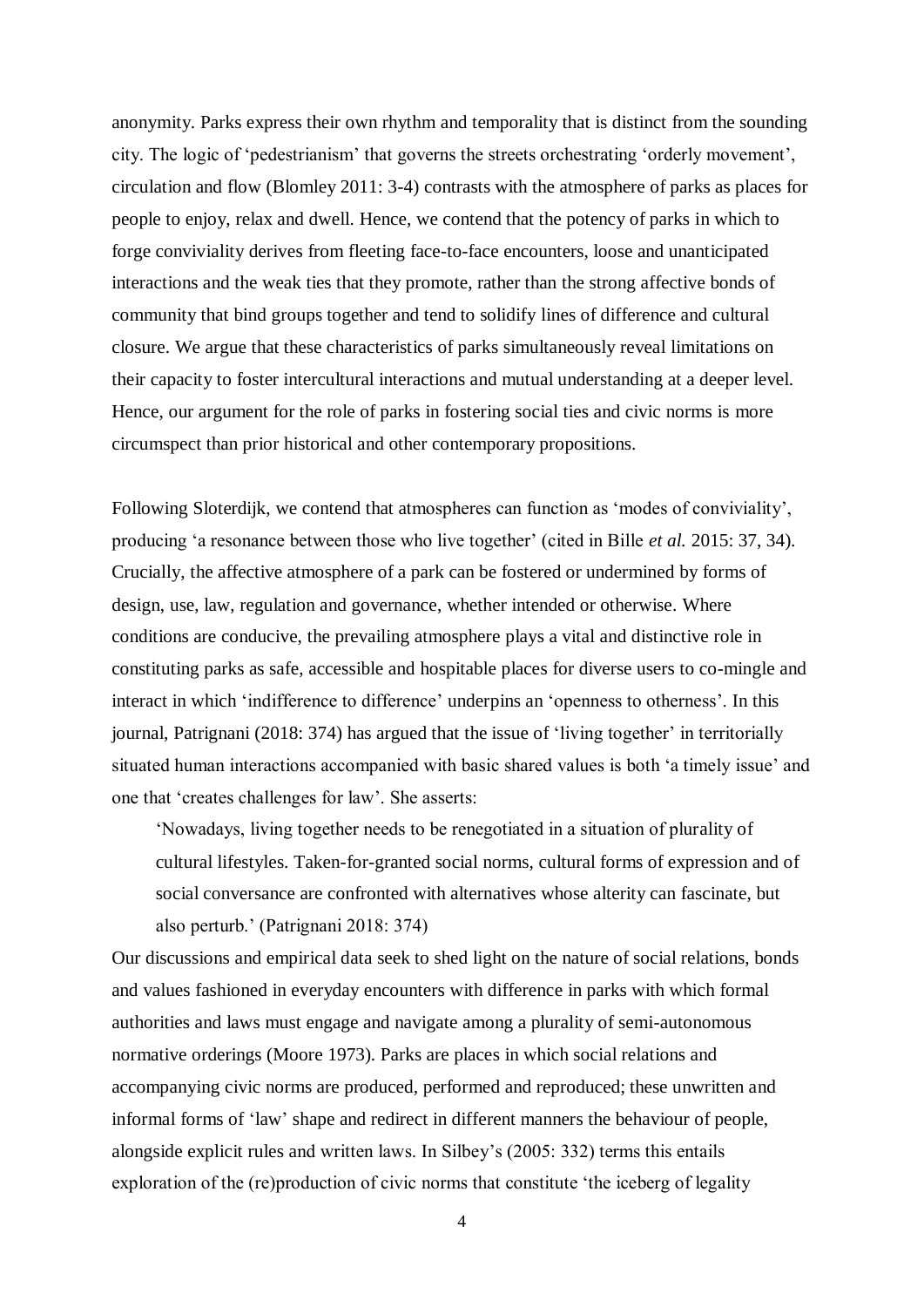anonymity. Parks express their own rhythm and temporality that is distinct from the sounding city. The logic of 'pedestrianism' that governs the streets orchestrating 'orderly movement', circulation and flow (Blomley 2011: 3-4) contrasts with the atmosphere of parks as places for people to enjoy, relax and dwell. Hence, we contend that the potency of parks in which to forge conviviality derives from fleeting face-to-face encounters, loose and unanticipated interactions and the weak ties that they promote, rather than the strong affective bonds of community that bind groups together and tend to solidify lines of difference and cultural closure. We argue that these characteristics of parks simultaneously reveal limitations on their capacity to foster intercultural interactions and mutual understanding at a deeper level. Hence, our argument for the role of parks in fostering social ties and civic norms is more circumspect than prior historical and other contemporary propositions.

Following Sloterdijk, we contend that atmospheres can function as 'modes of conviviality', producing 'a resonance between those who live together' (cited in Bille *et al.* 2015: 37, 34). Crucially, the affective atmosphere of a park can be fostered or undermined by forms of design, use, law, regulation and governance, whether intended or otherwise. Where conditions are conducive, the prevailing atmosphere plays a vital and distinctive role in constituting parks as safe, accessible and hospitable places for diverse users to co-mingle and interact in which 'indifference to difference' underpins an 'openness to otherness'. In this journal, Patrignani (2018: 374) has argued that the issue of 'living together' in territorially situated human interactions accompanied with basic shared values is both 'a timely issue' and one that 'creates challenges for law'. She asserts:

'Nowadays, living together needs to be renegotiated in a situation of plurality of cultural lifestyles. Taken-for-granted social norms, cultural forms of expression and of social conversance are confronted with alternatives whose alterity can fascinate, but also perturb.' (Patrignani 2018: 374)

Our discussions and empirical data seek to shed light on the nature of social relations, bonds and values fashioned in everyday encounters with difference in parks with which formal authorities and laws must engage and navigate among a plurality of semi-autonomous normative orderings (Moore 1973). Parks are places in which social relations and accompanying civic norms are produced, performed and reproduced; these unwritten and informal forms of 'law' shape and redirect in different manners the behaviour of people, alongside explicit rules and written laws. In Silbey's (2005: 332) terms this entails exploration of the (re)production of civic norms that constitute 'the iceberg of legality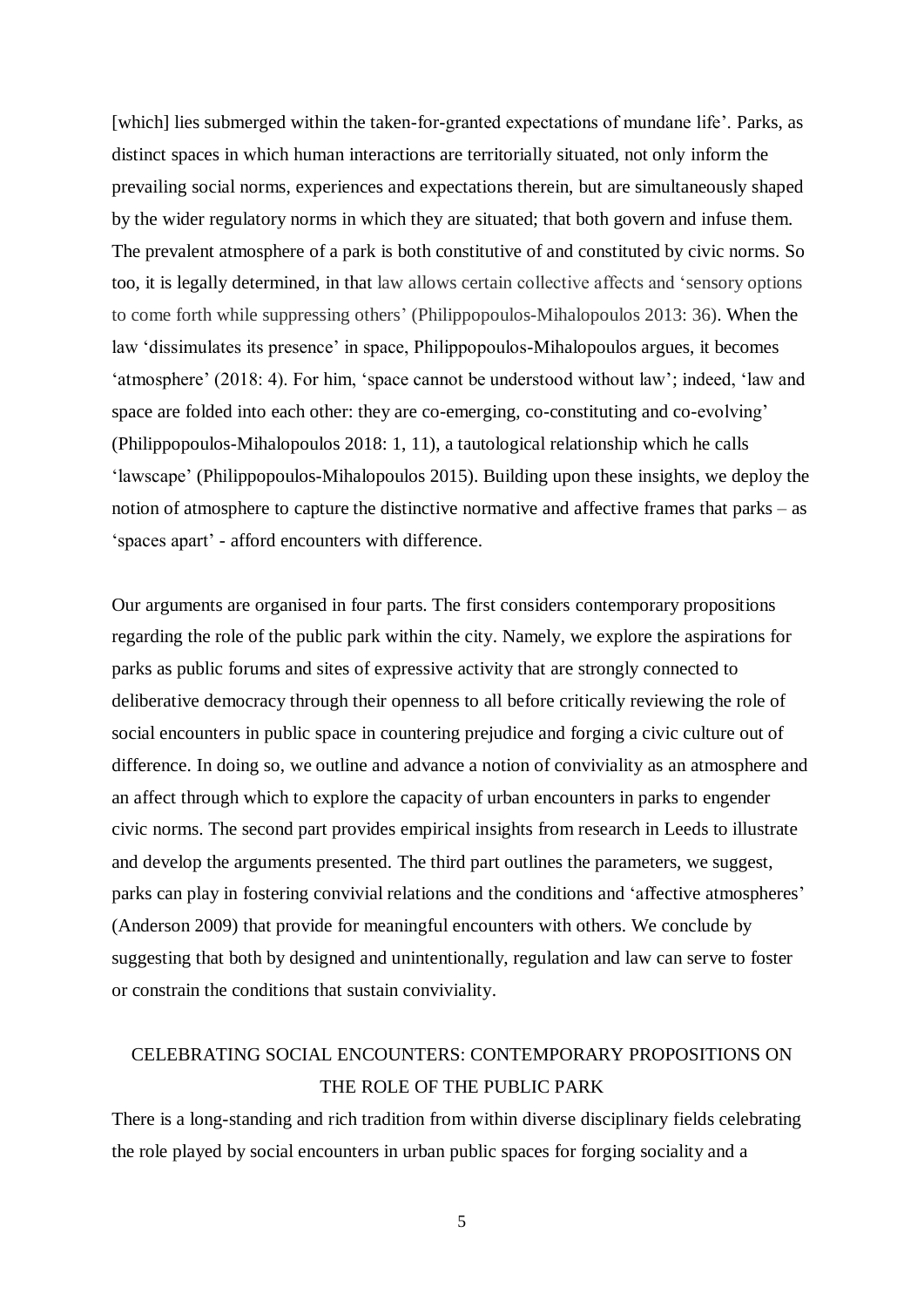[which] lies submerged within the taken-for-granted expectations of mundane life'. Parks, as distinct spaces in which human interactions are territorially situated, not only inform the prevailing social norms, experiences and expectations therein, but are simultaneously shaped by the wider regulatory norms in which they are situated; that both govern and infuse them. The prevalent atmosphere of a park is both constitutive of and constituted by civic norms. So too, it is legally determined, in that law allows certain collective affects and 'sensory options to come forth while suppressing others' (Philippopoulos-Mihalopoulos 2013: 36). When the law 'dissimulates its presence' in space, Philippopoulos-Mihalopoulos argues, it becomes 'atmosphere' (2018: 4). For him, 'space cannot be understood without law'; indeed, 'law and space are folded into each other: they are co-emerging, co-constituting and co-evolving' (Philippopoulos-Mihalopoulos 2018: 1, 11), a tautological relationship which he calls 'lawscape' (Philippopoulos-Mihalopoulos 2015). Building upon these insights, we deploy the notion of atmosphere to capture the distinctive normative and affective frames that parks – as 'spaces apart' - afford encounters with difference.

Our arguments are organised in four parts. The first considers contemporary propositions regarding the role of the public park within the city. Namely, we explore the aspirations for parks as public forums and sites of expressive activity that are strongly connected to deliberative democracy through their openness to all before critically reviewing the role of social encounters in public space in countering prejudice and forging a civic culture out of difference. In doing so, we outline and advance a notion of conviviality as an atmosphere and an affect through which to explore the capacity of urban encounters in parks to engender civic norms. The second part provides empirical insights from research in Leeds to illustrate and develop the arguments presented. The third part outlines the parameters, we suggest, parks can play in fostering convivial relations and the conditions and 'affective atmospheres' (Anderson 2009) that provide for meaningful encounters with others. We conclude by suggesting that both by designed and unintentionally, regulation and law can serve to foster or constrain the conditions that sustain conviviality.

# CELEBRATING SOCIAL ENCOUNTERS: CONTEMPORARY PROPOSITIONS ON THE ROLE OF THE PUBLIC PARK

There is a long-standing and rich tradition from within diverse disciplinary fields celebrating the role played by social encounters in urban public spaces for forging sociality and a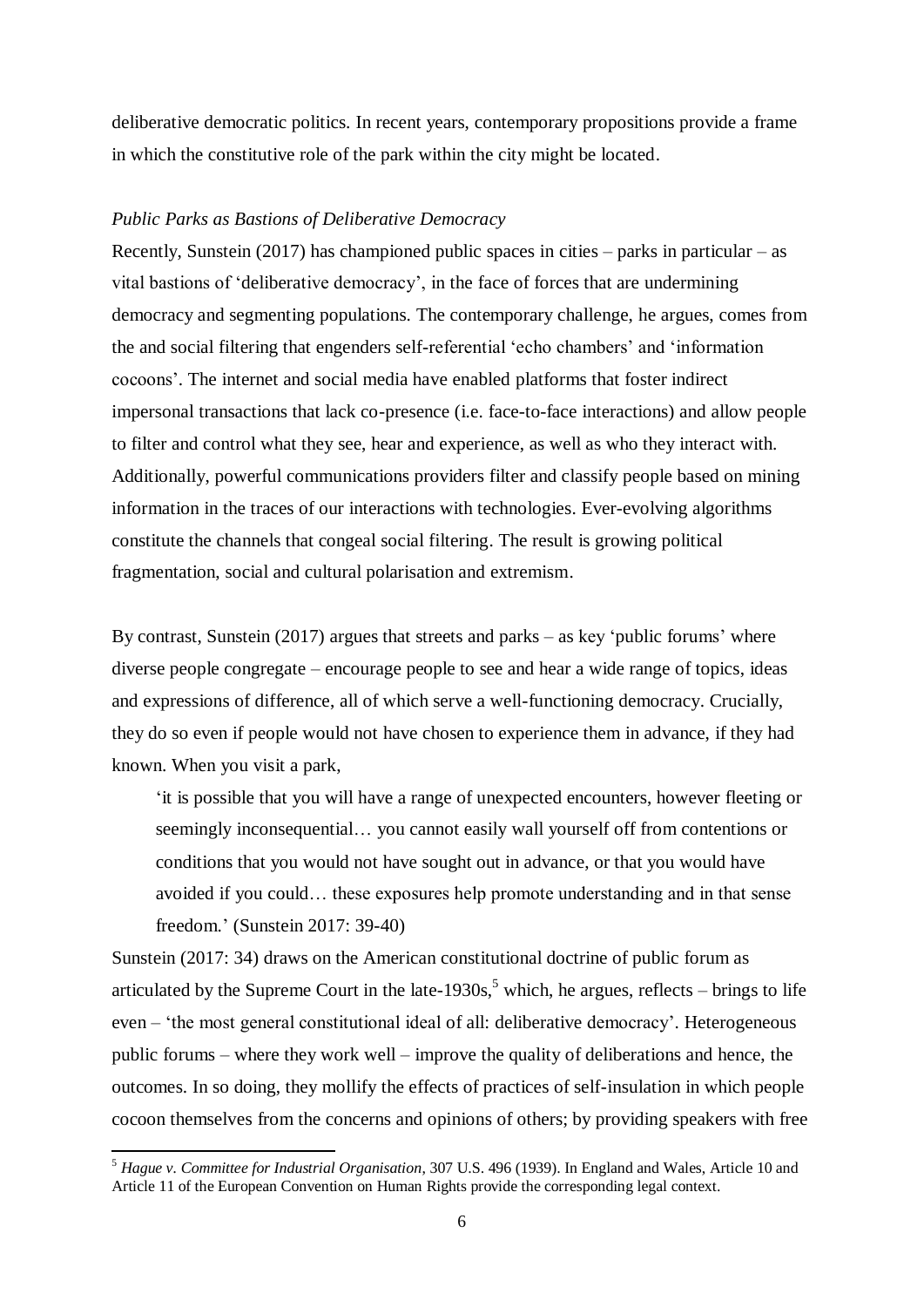deliberative democratic politics. In recent years, contemporary propositions provide a frame in which the constitutive role of the park within the city might be located.

## *Public Parks as Bastions of Deliberative Democracy*

Recently, Sunstein (2017) has championed public spaces in cities – parks in particular – as vital bastions of 'deliberative democracy', in the face of forces that are undermining democracy and segmenting populations. The contemporary challenge, he argues, comes from the and social filtering that engenders self-referential 'echo chambers' and 'information cocoons'. The internet and social media have enabled platforms that foster indirect impersonal transactions that lack co-presence (i.e. face-to-face interactions) and allow people to filter and control what they see, hear and experience, as well as who they interact with. Additionally, powerful communications providers filter and classify people based on mining information in the traces of our interactions with technologies. Ever-evolving algorithms constitute the channels that congeal social filtering. The result is growing political fragmentation, social and cultural polarisation and extremism.

By contrast, Sunstein  $(2017)$  argues that streets and parks – as key 'public forums' where diverse people congregate – encourage people to see and hear a wide range of topics, ideas and expressions of difference, all of which serve a well-functioning democracy. Crucially, they do so even if people would not have chosen to experience them in advance, if they had known. When you visit a park,

'it is possible that you will have a range of unexpected encounters, however fleeting or seemingly inconsequential… you cannot easily wall yourself off from contentions or conditions that you would not have sought out in advance, or that you would have avoided if you could… these exposures help promote understanding and in that sense freedom.' (Sunstein 2017: 39-40)

Sunstein (2017: 34) draws on the American constitutional doctrine of public forum as articulated by the Supreme Court in the late-1930s,<sup>5</sup> which, he argues, reflects – brings to life even – 'the most general constitutional ideal of all: deliberative democracy'. Heterogeneous public forums – where they work well – improve the quality of deliberations and hence, the outcomes. In so doing, they mollify the effects of practices of self-insulation in which people cocoon themselves from the concerns and opinions of others; by providing speakers with free

<sup>5</sup> *Hague v. Committee for Industrial Organisation*, 307 U.S. 496 (1939). In England and Wales, Article 10 and Article 11 of the European Convention on Human Rights provide the corresponding legal context.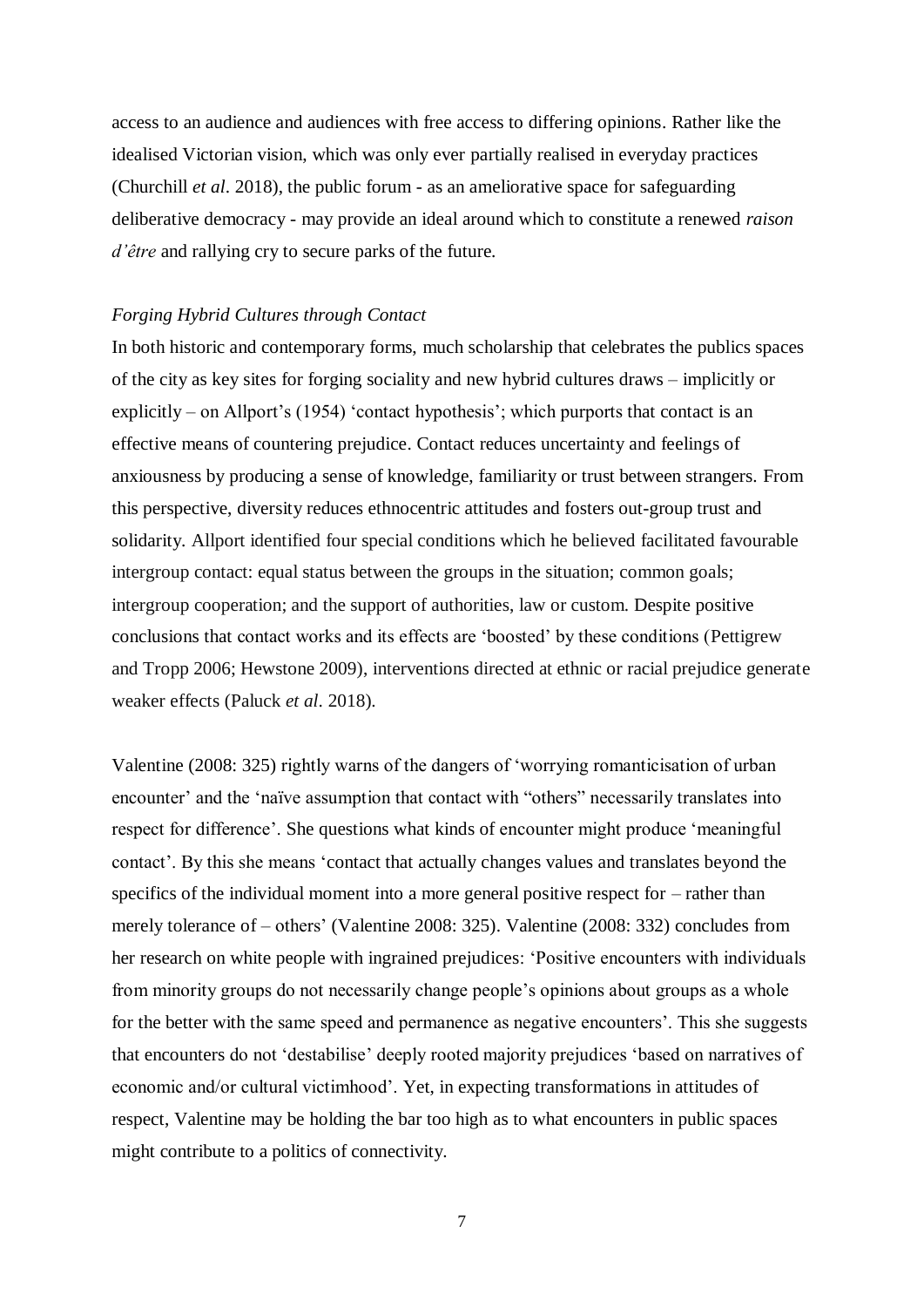access to an audience and audiences with free access to differing opinions. Rather like the idealised Victorian vision, which was only ever partially realised in everyday practices (Churchill *et al*. 2018), the public forum - as an ameliorative space for safeguarding deliberative democracy - may provide an ideal around which to constitute a renewed *raison d'être* and rallying cry to secure parks of the future.

## *Forging Hybrid Cultures through Contact*

In both historic and contemporary forms, much scholarship that celebrates the publics spaces of the city as key sites for forging sociality and new hybrid cultures draws – implicitly or explicitly – on Allport's (1954) 'contact hypothesis'; which purports that contact is an effective means of countering prejudice. Contact reduces uncertainty and feelings of anxiousness by producing a sense of knowledge, familiarity or trust between strangers. From this perspective, diversity reduces ethnocentric attitudes and fosters out-group trust and solidarity. Allport identified four special conditions which he believed facilitated favourable intergroup contact: equal status between the groups in the situation; common goals; intergroup cooperation; and the support of authorities, law or custom. Despite positive conclusions that contact works and its effects are 'boosted' by these conditions (Pettigrew and Tropp 2006; Hewstone 2009), interventions directed at ethnic or racial prejudice generate weaker effects (Paluck *et al*. 2018).

Valentine (2008: 325) rightly warns of the dangers of 'worrying romanticisation of urban encounter' and the 'naïve assumption that contact with "others" necessarily translates into respect for difference'. She questions what kinds of encounter might produce 'meaningful contact'. By this she means 'contact that actually changes values and translates beyond the specifics of the individual moment into a more general positive respect for – rather than merely tolerance of – others' (Valentine 2008: 325). Valentine (2008: 332) concludes from her research on white people with ingrained prejudices: 'Positive encounters with individuals from minority groups do not necessarily change people's opinions about groups as a whole for the better with the same speed and permanence as negative encounters'. This she suggests that encounters do not 'destabilise' deeply rooted majority prejudices 'based on narratives of economic and/or cultural victimhood'. Yet, in expecting transformations in attitudes of respect, Valentine may be holding the bar too high as to what encounters in public spaces might contribute to a politics of connectivity.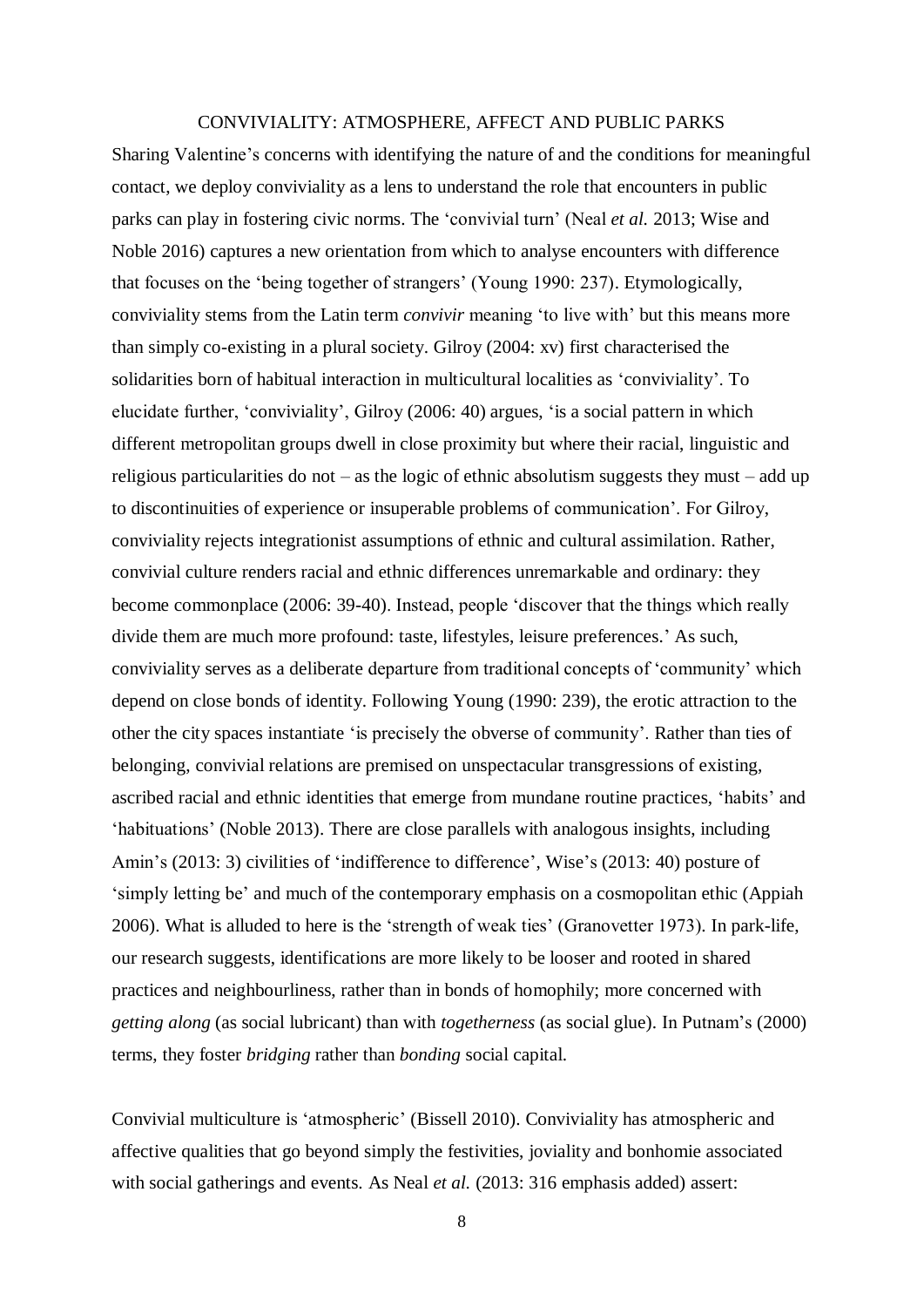#### CONVIVIALITY: ATMOSPHERE, AFFECT AND PUBLIC PARKS

Sharing Valentine's concerns with identifying the nature of and the conditions for meaningful contact, we deploy conviviality as a lens to understand the role that encounters in public parks can play in fostering civic norms. The 'convivial turn' (Neal *et al.* 2013; Wise and Noble 2016) captures a new orientation from which to analyse encounters with difference that focuses on the 'being together of strangers' (Young 1990: 237). Etymologically, conviviality stems from the Latin term *convivir* meaning 'to live with' but this means more than simply co-existing in a plural society. [Gilroy](http://0-journals.sagepub.com.wam.leeds.ac.uk/doi/full/10.1177/1357034X12474477) (2004: xv) first characterised the solidarities born of habitual interaction in multicultural localities as 'conviviality'. To elucidate further, 'conviviality', Gilroy (2006: 40) argues, 'is a social pattern in which different metropolitan groups dwell in close proximity but where their racial, linguistic and religious particularities do not – as the logic of ethnic absolutism suggests they must – add up to discontinuities of experience or insuperable problems of communication'. For Gilroy, conviviality rejects integrationist assumptions of ethnic and cultural assimilation. Rather, convivial culture renders racial and ethnic differences unremarkable and ordinary: they become commonplace (2006: 39-40). Instead, people 'discover that the things which really divide them are much more profound: taste, lifestyles, leisure preferences.' As such, conviviality serves as a deliberate departure from traditional concepts of 'community' which depend on close bonds of identity. Following Young (1990: 239), the erotic attraction to the other the city spaces instantiate 'is precisely the obverse of community'. Rather than ties of belonging, convivial relations are premised on unspectacular transgressions of existing, ascribed racial and ethnic identities that emerge from mundane routine practices, 'habits' and 'habituations' (Noble 2013). There are close parallels with analogous insights, including Amin's (2013: 3) civilities of 'indifference to difference', Wise's (2013: 40) posture of 'simply letting be' and much of the contemporary emphasis on a cosmopolitan ethic (Appiah 2006). What is alluded to here is the 'strength of weak ties' (Granovetter 1973). In park-life, our research suggests, identifications are more likely to be looser and rooted in shared practices and neighbourliness, rather than in bonds of homophily; more concerned with *getting along* (as social lubricant) than with *togetherness* (as social glue). In Putnam's (2000) terms, they foster *bridging* rather than *bonding* social capital.

Convivial multiculture is 'atmospheric' (Bissell 2010). Conviviality has atmospheric and affective qualities that go beyond simply the festivities, joviality and bonhomie associated with social gatherings and events. As Neal *et al.* (2013: 316 emphasis added) assert: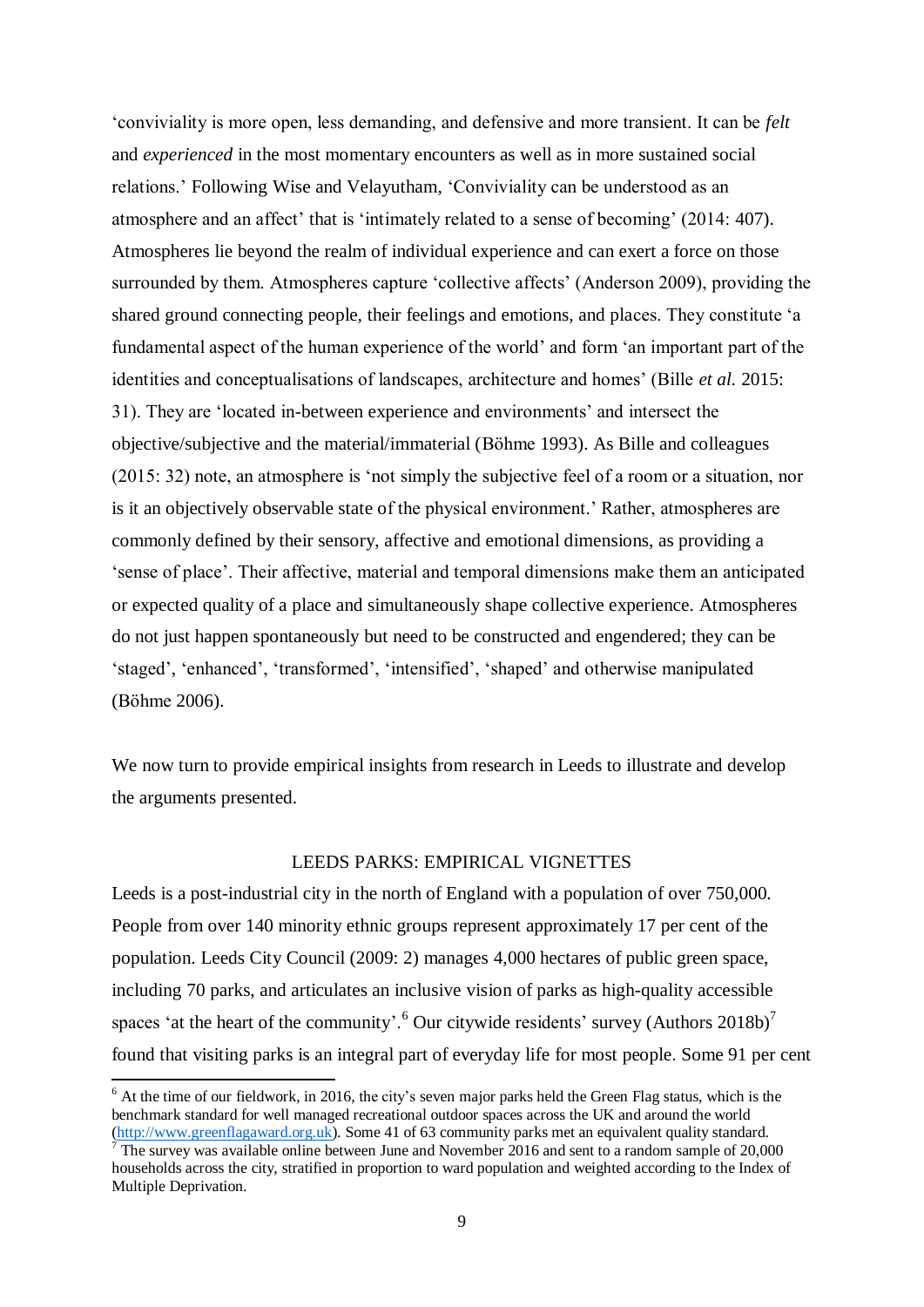'conviviality is more open, less demanding, and defensive and more transient. It can be *felt* and *experienced* in the most momentary encounters as well as in more sustained social relations.' Following Wise and Velayutham, 'Conviviality can be understood as an atmosphere and an affect' that is 'intimately related to a sense of becoming' (2014: 407). Atmospheres lie beyond the realm of individual experience and can exert a force on those surrounded by them. Atmospheres capture 'collective affects' (Anderson 2009), providing the shared ground connecting people, their feelings and emotions, and places. They constitute 'a fundamental aspect of the human experience of the world' and form 'an important part of the identities and conceptualisations of landscapes, architecture and homes' (Bille *et al.* 2015: 31). They are 'located in-between experience and environments' and intersect the objective/subjective and the material/immaterial (Bӧhme 1993). As Bille and colleagues (2015: 32) note, an atmosphere is 'not simply the subjective feel of a room or a situation, nor is it an objectively observable state of the physical environment.' Rather, atmospheres are commonly defined by their sensory, affective and emotional dimensions, as providing a 'sense of place'. Their affective, material and temporal dimensions make them an anticipated or expected quality of a place and simultaneously shape collective experience. Atmospheres do not just happen spontaneously but need to be constructed and engendered; they can be 'staged', 'enhanced', 'transformed', 'intensified', 'shaped' and otherwise manipulated (Bӧhme 2006).

We now turn to provide empirical insights from research in Leeds to illustrate and develop the arguments presented.

## LEEDS PARKS: EMPIRICAL VIGNETTES

Leeds is a post-industrial city in the north of England with a population of over 750,000. People from over 140 minority ethnic groups represent approximately 17 per cent of the population. Leeds City Council (2009: 2) manages 4,000 hectares of public green space, including 70 parks, and articulates an inclusive vision of parks as high-quality accessible spaces 'at the heart of the community'.<sup>6</sup> Our citywide residents' survey (Authors 2018b)<sup>7</sup> found that visiting parks is an integral part of everyday life for most people. Some 91 per cent

 $6$  At the time of our fieldwork, in 2016, the city's seven major parks held the Green Flag status, which is the benchmark standard for well managed recreational outdoor spaces across the UK and around the world [\(http://www.greenflagaward.org.uk\)](http://www.greenflagaward.org.uk/). Some 41 of 63 community parks met an equivalent quality standard.

<sup>7</sup> The survey was available online between June and November 2016 and sent to a random sample of 20,000 households across the city, stratified in proportion to ward population and weighted according to the Index of Multiple Deprivation.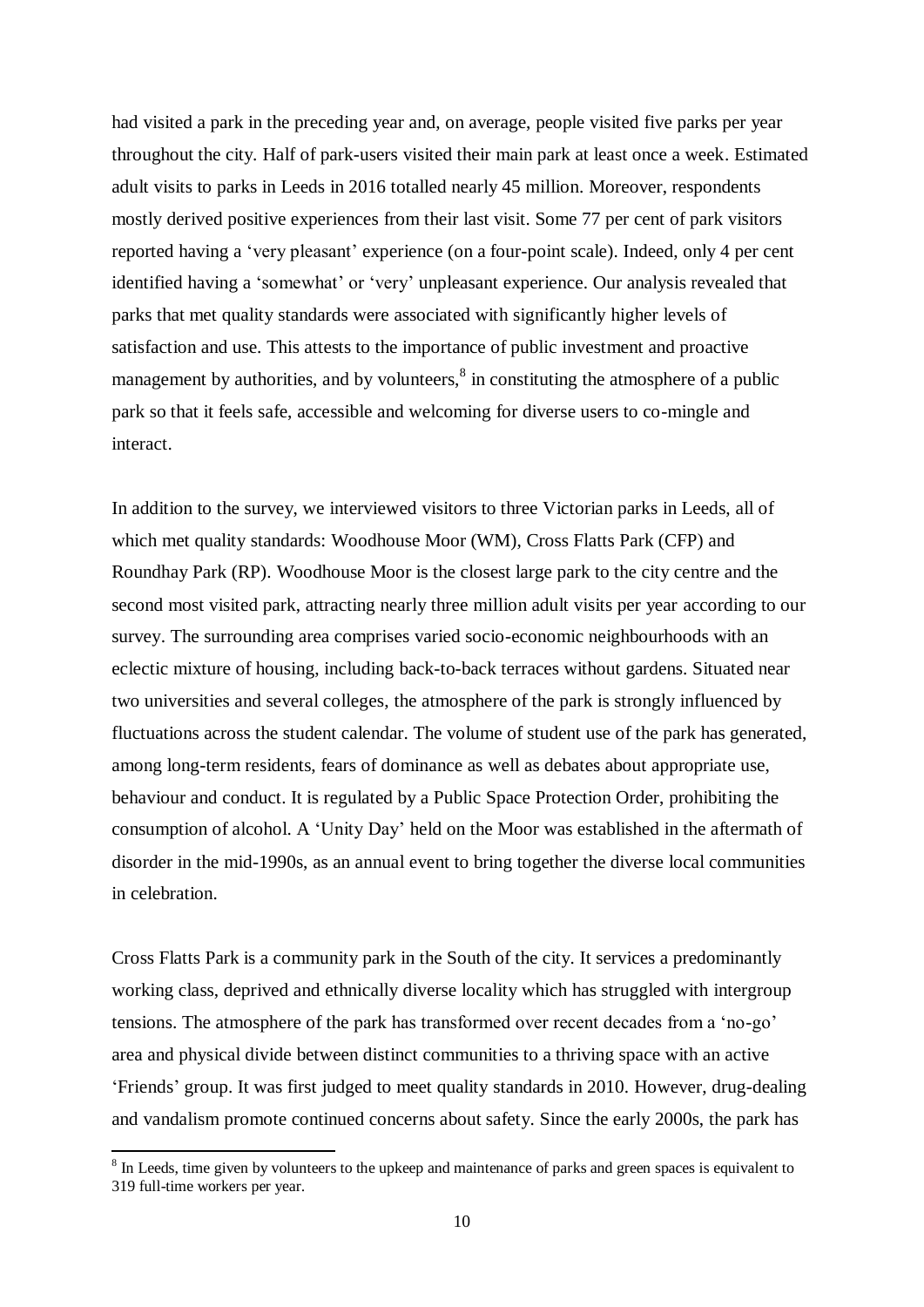had visited a park in the preceding year and, on average, people visited five parks per year throughout the city. Half of park-users visited their main park at least once a week. Estimated adult visits to parks in Leeds in 2016 totalled nearly 45 million. Moreover, respondents mostly derived positive experiences from their last visit. Some 77 per cent of park visitors reported having a 'very pleasant' experience (on a four-point scale). Indeed, only 4 per cent identified having a 'somewhat' or 'very' unpleasant experience. Our analysis revealed that parks that met quality standards were associated with significantly higher levels of satisfaction and use. This attests to the importance of public investment and proactive management by authorities, and by volunteers, $\frac{8}{3}$  in constituting the atmosphere of a public park so that it feels safe, accessible and welcoming for diverse users to co-mingle and interact.

In addition to the survey, we interviewed visitors to three Victorian parks in Leeds, all of which met quality standards: Woodhouse Moor (WM), Cross Flatts Park (CFP) and Roundhay Park (RP). Woodhouse Moor is the closest large park to the city centre and the second most visited park, attracting nearly three million adult visits per year according to our survey. The surrounding area comprises varied socio-economic neighbourhoods with an eclectic mixture of housing, including back-to-back terraces without gardens. Situated near two universities and several colleges, the atmosphere of the park is strongly influenced by fluctuations across the student calendar. The volume of student use of the park has generated, among long-term residents, fears of dominance as well as debates about appropriate use, behaviour and conduct. It is regulated by a Public Space Protection Order, prohibiting the consumption of alcohol. A 'Unity Day' held on the Moor was established in the aftermath of disorder in the mid-1990s, as an annual event to bring together the diverse local communities in celebration.

Cross Flatts Park is a community park in the South of the city. It services a predominantly working class, deprived and ethnically diverse locality which has struggled with intergroup tensions. The atmosphere of the park has transformed over recent decades from a 'no-go' area and physical divide between distinct communities to a thriving space with an active 'Friends' group. It was first judged to meet quality standards in 2010. However, drug-dealing and vandalism promote continued concerns about safety. Since the early 2000s, the park has

<sup>&</sup>lt;sup>8</sup> In Leeds, time given by volunteers to the upkeep and maintenance of parks and green spaces is equivalent to 319 full-time workers per year.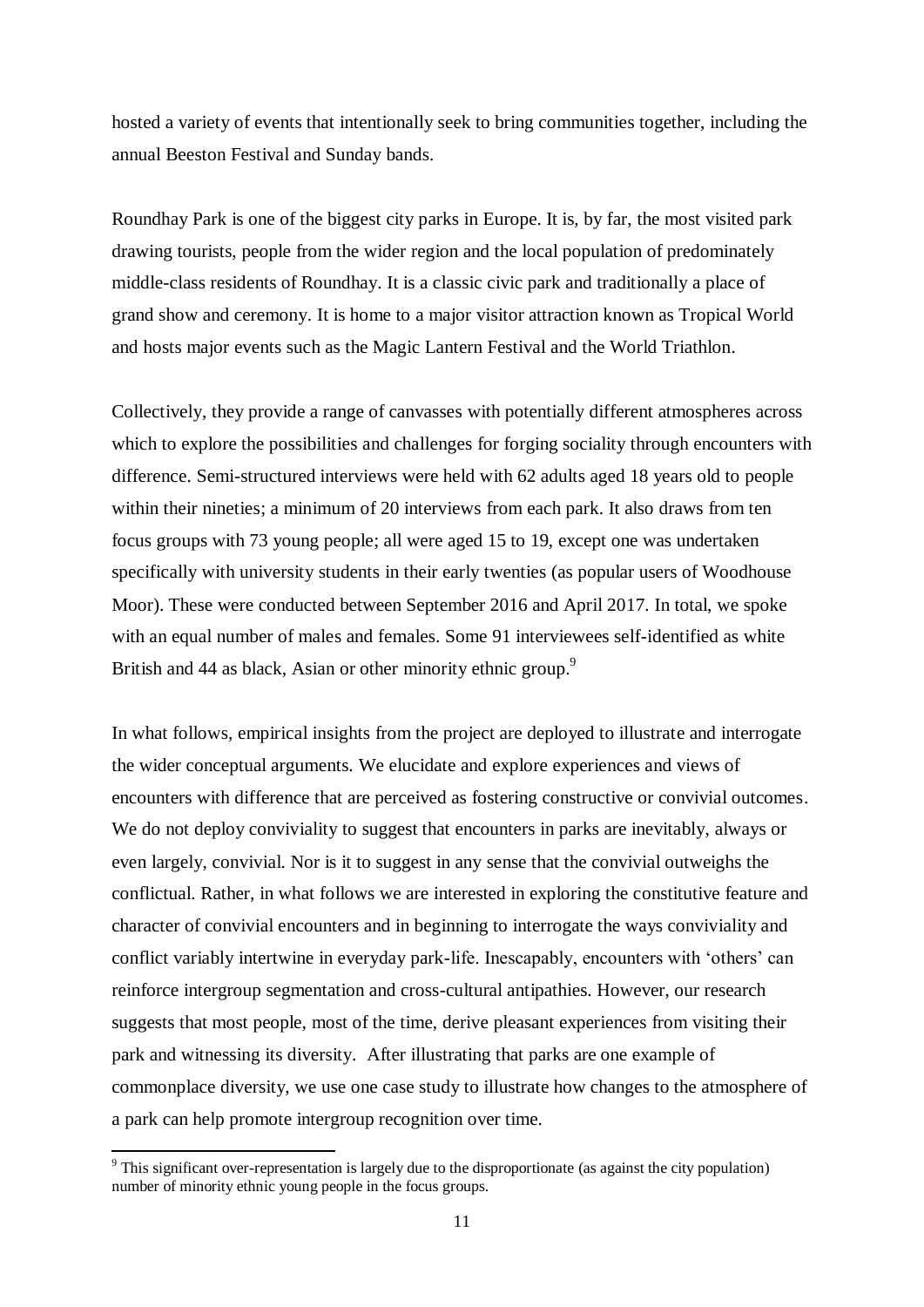hosted a variety of events that intentionally seek to bring communities together, including the annual Beeston Festival and Sunday bands.

Roundhay Park is one of the biggest city parks in Europe. It is, by far, the most visited park drawing tourists, people from the wider region and the local population of predominately middle-class residents of Roundhay. It is a classic civic park and traditionally a place of grand show and ceremony. It is home to a major visitor attraction known as Tropical World and hosts major events such as the Magic Lantern Festival and the World Triathlon.

Collectively, they provide a range of canvasses with potentially different atmospheres across which to explore the possibilities and challenges for forging sociality through encounters with difference. Semi-structured interviews were held with 62 adults aged 18 years old to people within their nineties; a minimum of 20 interviews from each park. It also draws from ten focus groups with 73 young people; all were aged 15 to 19, except one was undertaken specifically with university students in their early twenties (as popular users of Woodhouse Moor). These were conducted between September 2016 and April 2017. In total, we spoke with an equal number of males and females. Some 91 interviewees self-identified as white British and 44 as black, Asian or other minority ethnic group.<sup>9</sup>

In what follows, empirical insights from the project are deployed to illustrate and interrogate the wider conceptual arguments. We elucidate and explore experiences and views of encounters with difference that are perceived as fostering constructive or convivial outcomes. We do not deploy conviviality to suggest that encounters in parks are inevitably, always or even largely, convivial. Nor is it to suggest in any sense that the convivial outweighs the conflictual. Rather, in what follows we are interested in exploring the constitutive feature and character of convivial encounters and in beginning to interrogate the ways conviviality and conflict variably intertwine in everyday park-life. Inescapably, encounters with 'others' can reinforce intergroup segmentation and cross-cultural antipathies. However, our research suggests that most people, most of the time, derive pleasant experiences from visiting their park and witnessing its diversity. After illustrating that parks are one example of commonplace diversity, we use one case study to illustrate how changes to the atmosphere of a park can help promote intergroup recognition over time.

 $9$  This significant over-representation is largely due to the disproportionate (as against the city population) number of minority ethnic young people in the focus groups.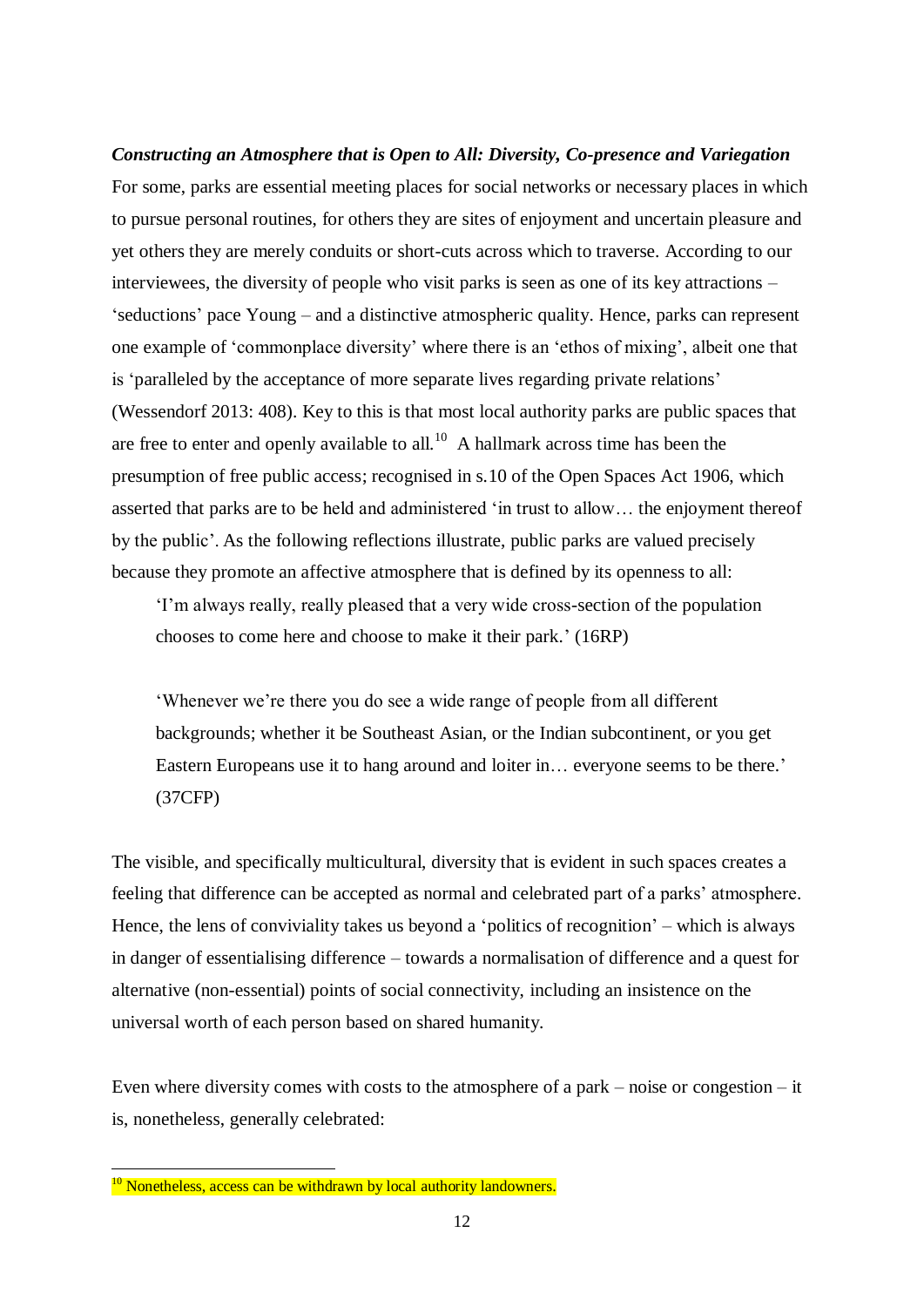*Constructing an Atmosphere that is Open to All: Diversity, Co-presence and Variegation* For some, parks are essential meeting places for social networks or necessary places in which to pursue personal routines, for others they are sites of enjoyment and uncertain pleasure and yet others they are merely conduits or short-cuts across which to traverse. According to our interviewees, the diversity of people who visit parks is seen as one of its key attractions – 'seductions' pace Young – and a distinctive atmospheric quality. Hence, parks can represent one example of 'commonplace diversity' where there is an 'ethos of mixing', albeit one that is 'paralleled by the acceptance of more separate lives regarding private relations' (Wessendorf 2013: 408). Key to this is that most local authority parks are public spaces that are free to enter and openly available to all.<sup>10</sup> A hallmark across time has been the presumption of free public access; recognised in s.10 of the Open Spaces Act 1906, which asserted that parks are to be held and administered 'in trust to allow… the enjoyment thereof by the public'. As the following reflections illustrate, public parks are valued precisely because they promote an affective atmosphere that is defined by its openness to all:

'I'm always really, really pleased that a very wide cross-section of the population chooses to come here and choose to make it their park.' (16RP)

'Whenever we're there you do see a wide range of people from all different backgrounds; whether it be Southeast Asian, or the Indian subcontinent, or you get Eastern Europeans use it to hang around and loiter in… everyone seems to be there.' (37CFP)

The visible, and specifically multicultural, diversity that is evident in such spaces creates a feeling that difference can be accepted as normal and celebrated part of a parks' atmosphere. Hence, the lens of conviviality takes us beyond a 'politics of recognition' – which is always in danger of essentialising difference – towards a normalisation of difference and a quest for alternative (non-essential) points of social connectivity, including an insistence on the universal worth of each person based on shared humanity.

Even where diversity comes with costs to the atmosphere of a park – noise or congestion – it is, nonetheless, generally celebrated:

**.** 

 $10$  Nonetheless, access can be withdrawn by local authority landowners.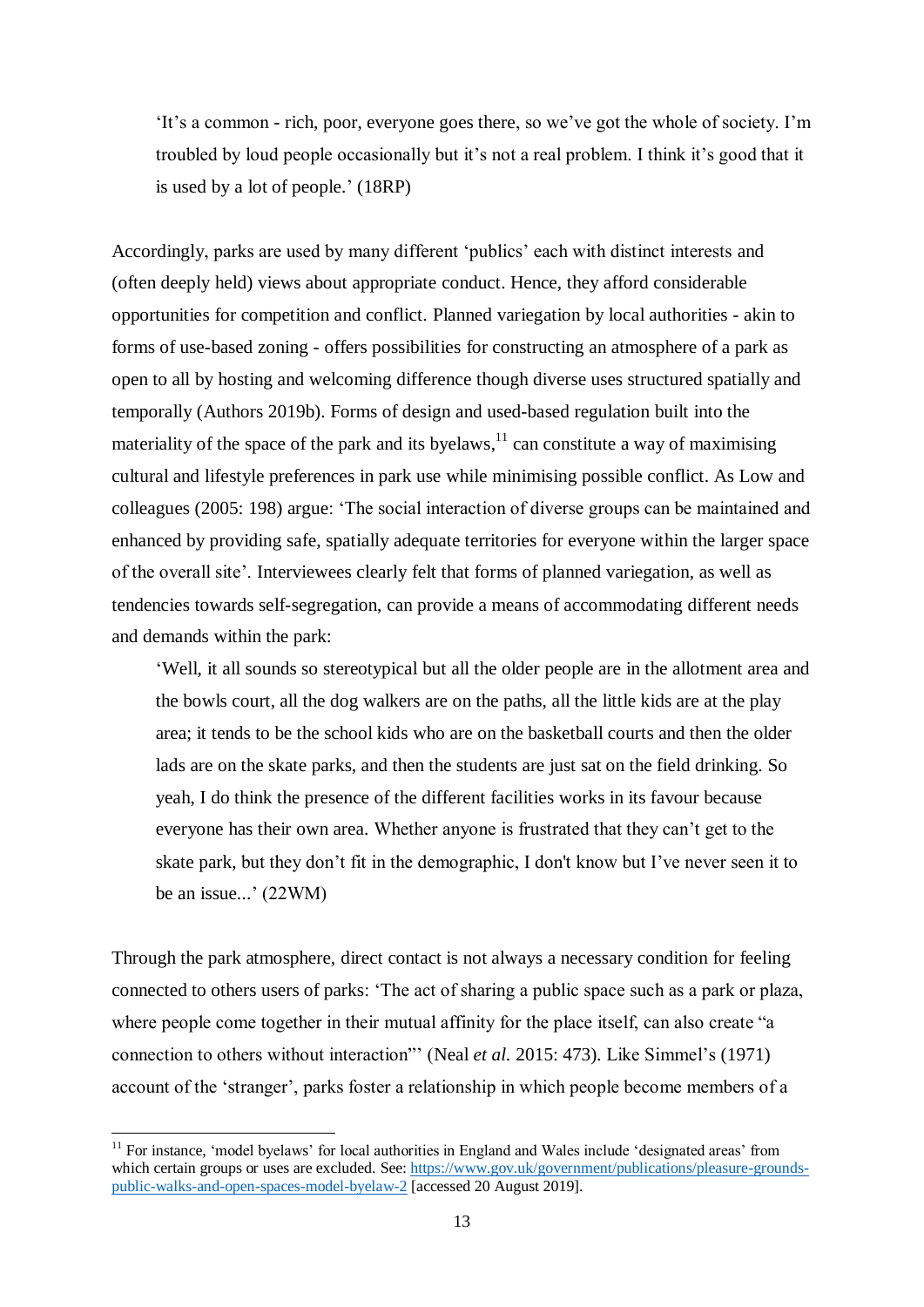'It's a common - rich, poor, everyone goes there, so we've got the whole of society. I'm troubled by loud people occasionally but it's not a real problem. I think it's good that it is used by a lot of people.' (18RP)

Accordingly, parks are used by many different 'publics' each with distinct interests and (often deeply held) views about appropriate conduct. Hence, they afford considerable opportunities for competition and conflict. Planned variegation by local authorities - akin to forms of use-based zoning - offers possibilities for constructing an atmosphere of a park as open to all by hosting and welcoming difference though diverse uses structured spatially and temporally (Authors 2019b). Forms of design and used-based regulation built into the materiality of the space of the park and its byelaws,  $\frac{1}{1}$  can constitute a way of maximising cultural and lifestyle preferences in park use while minimising possible conflict. As Low and colleagues (2005: 198) argue: 'The social interaction of diverse groups can be maintained and enhanced by providing safe, spatially adequate territories for everyone within the larger space of the overall site'. Interviewees clearly felt that forms of planned variegation, as well as tendencies towards self-segregation, can provide a means of accommodating different needs and demands within the park:

'Well, it all sounds so stereotypical but all the older people are in the allotment area and the bowls court, all the dog walkers are on the paths, all the little kids are at the play area; it tends to be the school kids who are on the basketball courts and then the older lads are on the skate parks, and then the students are just sat on the field drinking. So yeah, I do think the presence of the different facilities works in its favour because everyone has their own area. Whether anyone is frustrated that they can't get to the skate park, but they don't fit in the demographic, I don't know but I've never seen it to be an issue...' (22WM)

Through the park atmosphere, direct contact is not always a necessary condition for feeling connected to others users of parks: 'The act of sharing a public space such as a park or plaza, where people come together in their mutual affinity for the place itself, can also create "a connection to others without interaction"' (Neal *et al.* 2015: 473). Like Simmel's (1971) account of the 'stranger', parks foster a relationship in which people become members of a

<sup>&</sup>lt;sup>11</sup> For instance, 'model byelaws' for local authorities in England and Wales include 'designated areas' from which certain groups or uses are excluded. See[: https://www.gov.uk/government/publications/pleasure-grounds](https://www.gov.uk/government/publications/pleasure-grounds-public-walks-and-open-spaces-model-byelaw-2)[public-walks-and-open-spaces-model-byelaw-2](https://www.gov.uk/government/publications/pleasure-grounds-public-walks-and-open-spaces-model-byelaw-2) [accessed 20 August 2019].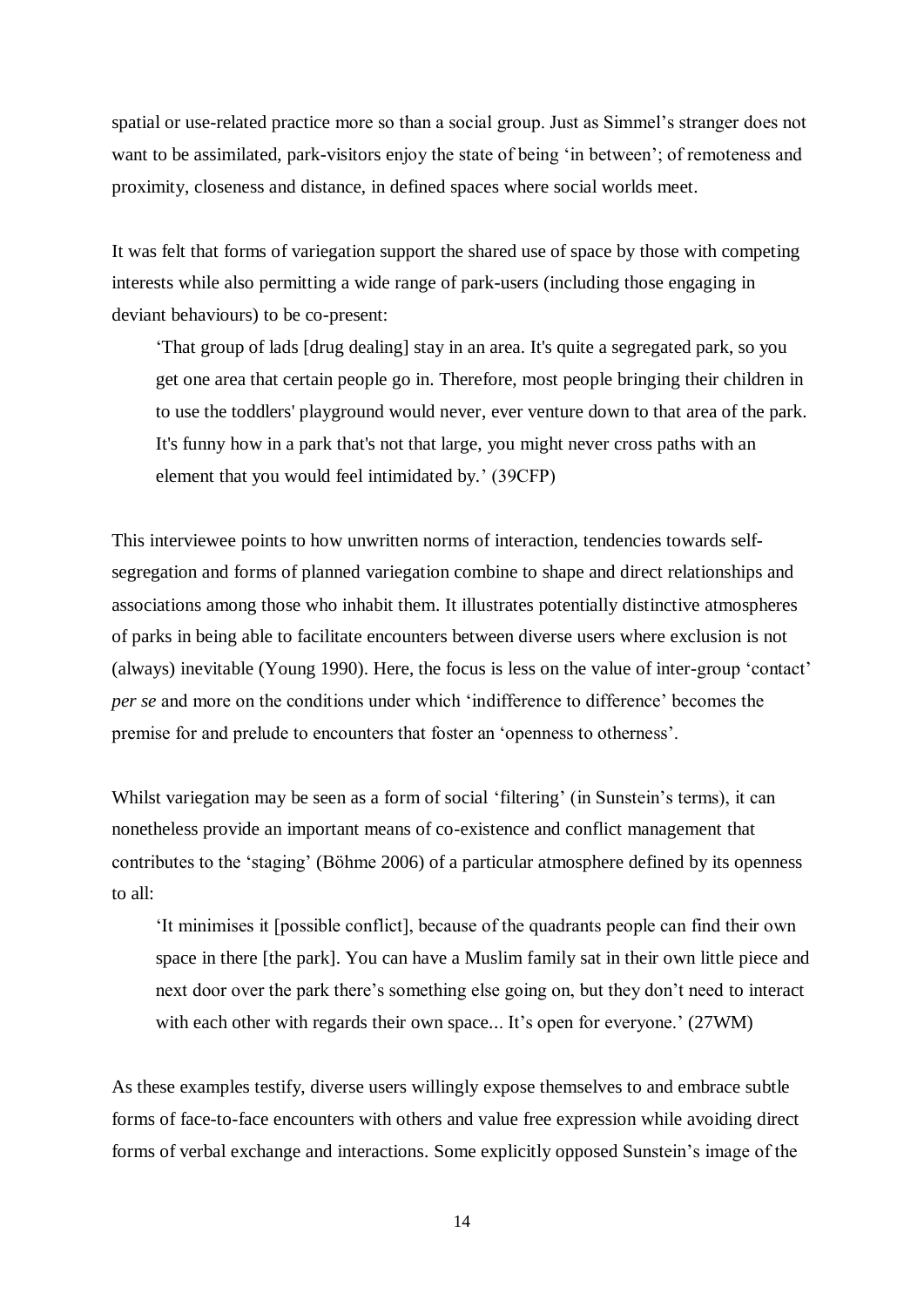spatial or use-related practice more so than a social group. Just as Simmel's stranger does not want to be assimilated, park-visitors enjoy the state of being 'in between'; of remoteness and proximity, closeness and distance, in defined spaces where social worlds meet.

It was felt that forms of variegation support the shared use of space by those with competing interests while also permitting a wide range of park-users (including those engaging in deviant behaviours) to be co-present:

'That group of lads [drug dealing] stay in an area. It's quite a segregated park, so you get one area that certain people go in. Therefore, most people bringing their children in to use the toddlers' playground would never, ever venture down to that area of the park. It's funny how in a park that's not that large, you might never cross paths with an element that you would feel intimidated by.' (39CFP)

This interviewee points to how unwritten norms of interaction, tendencies towards selfsegregation and forms of planned variegation combine to shape and direct relationships and associations among those who inhabit them. It illustrates potentially distinctive atmospheres of parks in being able to facilitate encounters between diverse users where exclusion is not (always) inevitable (Young 1990). Here, the focus is less on the value of inter-group 'contact' *per se* and more on the conditions under which 'indifference to difference' becomes the premise for and prelude to encounters that foster an 'openness to otherness'.

Whilst variegation may be seen as a form of social 'filtering' (in Sunstein's terms), it can nonetheless provide an important means of co-existence and conflict management that contributes to the 'staging' (Bӧhme 2006) of a particular atmosphere defined by its openness to all:

'It minimises it [possible conflict], because of the quadrants people can find their own space in there [the park]. You can have a Muslim family sat in their own little piece and next door over the park there's something else going on, but they don't need to interact with each other with regards their own space... It's open for everyone.' (27WM)

As these examples testify, diverse users willingly expose themselves to and embrace subtle forms of face-to-face encounters with others and value free expression while avoiding direct forms of verbal exchange and interactions. Some explicitly opposed Sunstein's image of the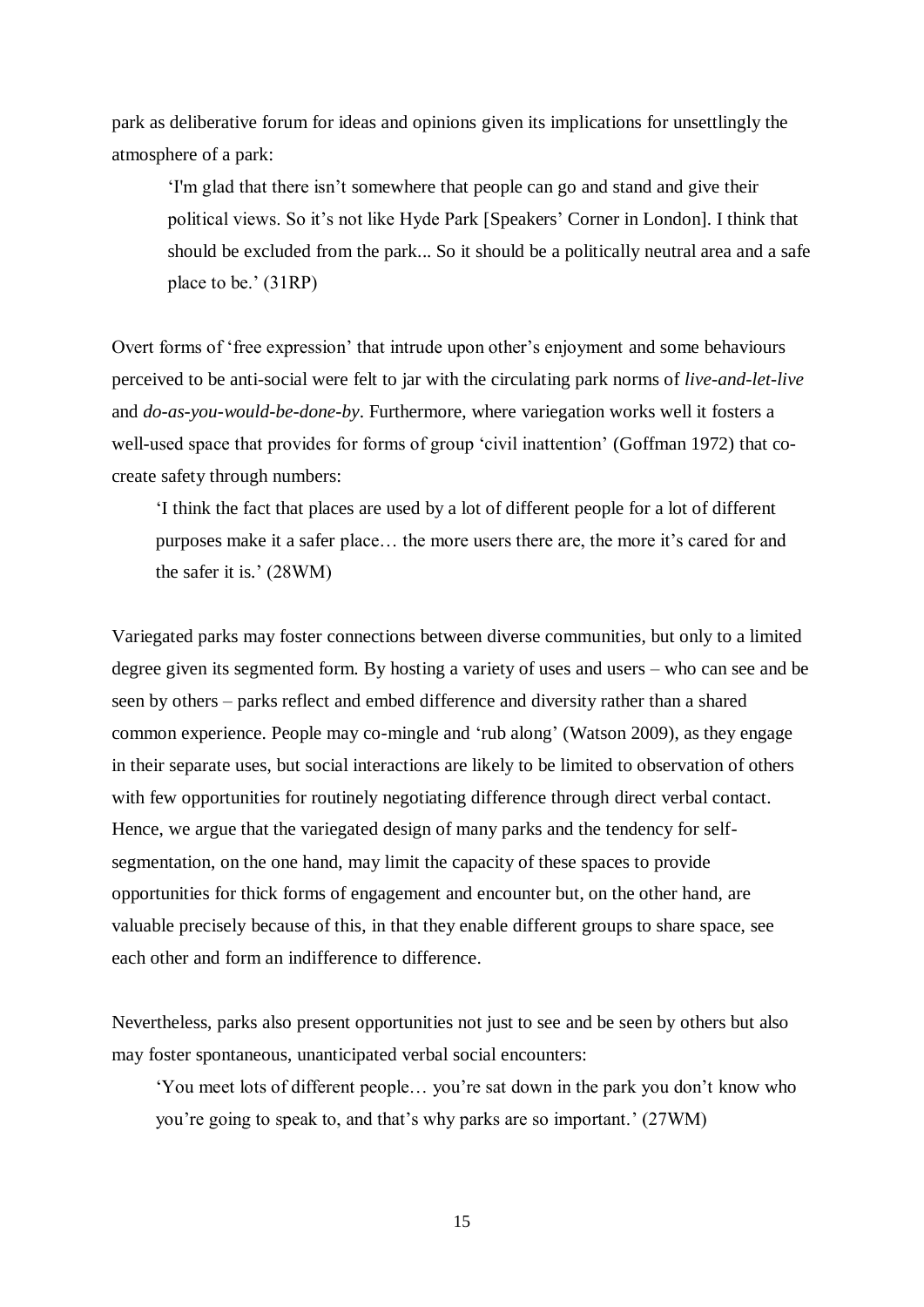park as deliberative forum for ideas and opinions given its implications for unsettlingly the atmosphere of a park:

'I'm glad that there isn't somewhere that people can go and stand and give their political views. So it's not like Hyde Park [Speakers' Corner in London]. I think that should be excluded from the park... So it should be a politically neutral area and a safe place to be.' (31RP)

Overt forms of 'free expression' that intrude upon other's enjoyment and some behaviours perceived to be anti-social were felt to jar with the circulating park norms of *live-and-let-live* and *do-as-you-would-be-done-by*. Furthermore, where variegation works well it fosters a well-used space that provides for forms of group 'civil inattention' (Goffman 1972) that cocreate safety through numbers:

'I think the fact that places are used by a lot of different people for a lot of different purposes make it a safer place… the more users there are, the more it's cared for and the safer it is.' (28WM)

Variegated parks may foster connections between diverse communities, but only to a limited degree given its segmented form. By hosting a variety of uses and users – who can see and be seen by others – parks reflect and embed difference and diversity rather than a shared common experience. People may co-mingle and 'rub along' (Watson 2009), as they engage in their separate uses, but social interactions are likely to be limited to observation of others with few opportunities for routinely negotiating difference through direct verbal contact. Hence, we argue that the variegated design of many parks and the tendency for selfsegmentation, on the one hand, may limit the capacity of these spaces to provide opportunities for thick forms of engagement and encounter but, on the other hand, are valuable precisely because of this, in that they enable different groups to share space, see each other and form an indifference to difference.

Nevertheless, parks also present opportunities not just to see and be seen by others but also may foster spontaneous, unanticipated verbal social encounters:

'You meet lots of different people… you're sat down in the park you don't know who you're going to speak to, and that's why parks are so important.' (27WM)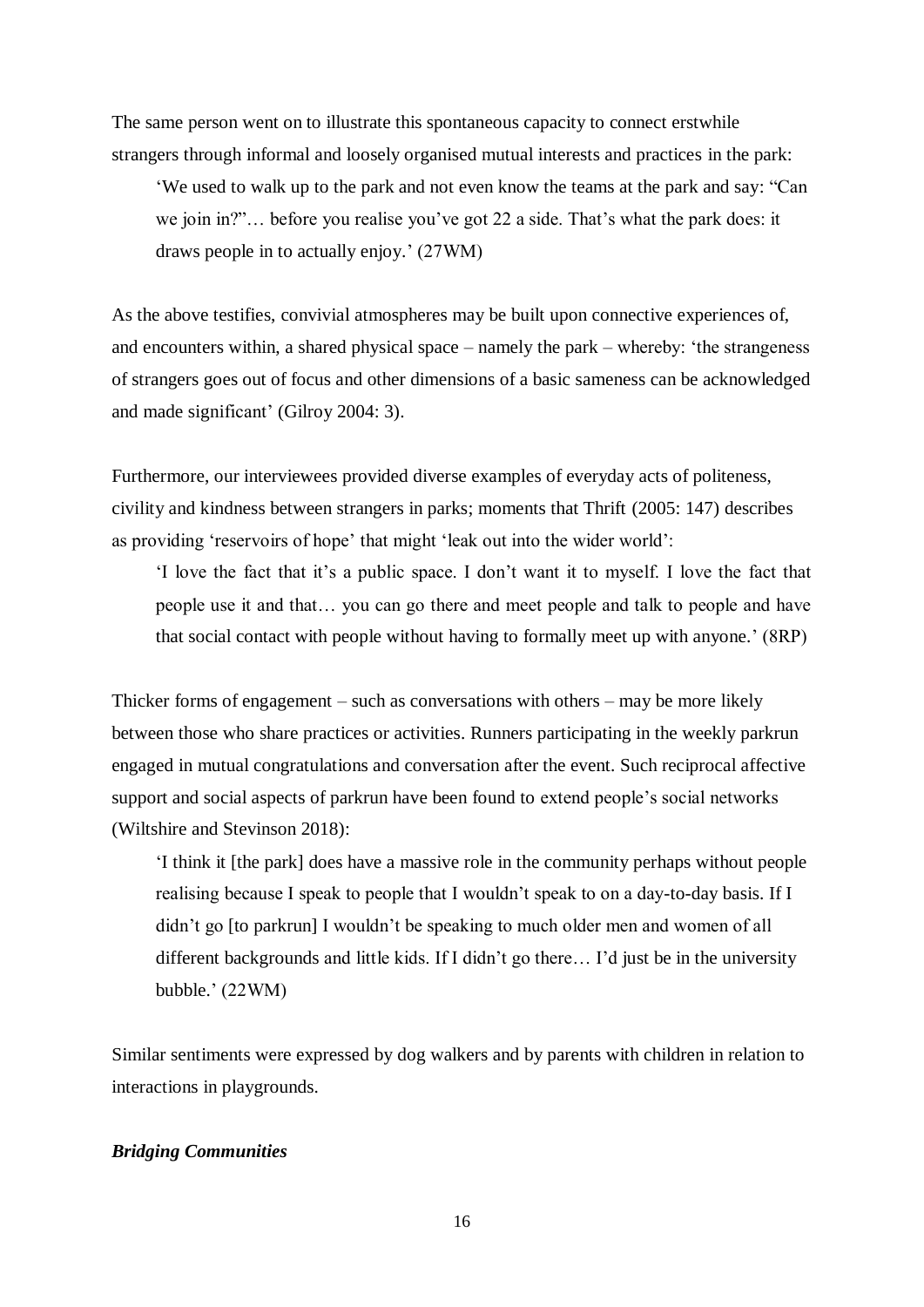The same person went on to illustrate this spontaneous capacity to connect erstwhile strangers through informal and loosely organised mutual interests and practices in the park:

'We used to walk up to the park and not even know the teams at the park and say: "Can we join in?"… before you realise you've got 22 a side. That's what the park does: it draws people in to actually enjoy.' (27WM)

As the above testifies, convivial atmospheres may be built upon connective experiences of, and encounters within, a shared physical space – namely the park – whereby: 'the strangeness of strangers goes out of focus and other dimensions of a basic sameness can be acknowledged and made significant' (Gilroy 2004: 3).

Furthermore, our interviewees provided diverse examples of everyday acts of politeness, civility and kindness between strangers in parks; moments that Thrift (2005: 147) describes as providing 'reservoirs of hope' that might 'leak out into the wider world':

'I love the fact that it's a public space. I don't want it to myself. I love the fact that people use it and that… you can go there and meet people and talk to people and have that social contact with people without having to formally meet up with anyone.' (8RP)

Thicker forms of engagement – such as conversations with others – may be more likely between those who share practices or activities. Runners participating in the weekly parkrun engaged in mutual congratulations and conversation after the event. Such reciprocal affective support and social aspects of parkrun have been found to extend people's social networks (Wiltshire and Stevinson 2018):

'I think it [the park] does have a massive role in the community perhaps without people realising because I speak to people that I wouldn't speak to on a day-to-day basis. If I didn't go [to parkrun] I wouldn't be speaking to much older men and women of all different backgrounds and little kids. If I didn't go there… I'd just be in the university bubble.' (22WM)

Similar sentiments were expressed by dog walkers and by parents with children in relation to interactions in playgrounds.

# *Bridging Communities*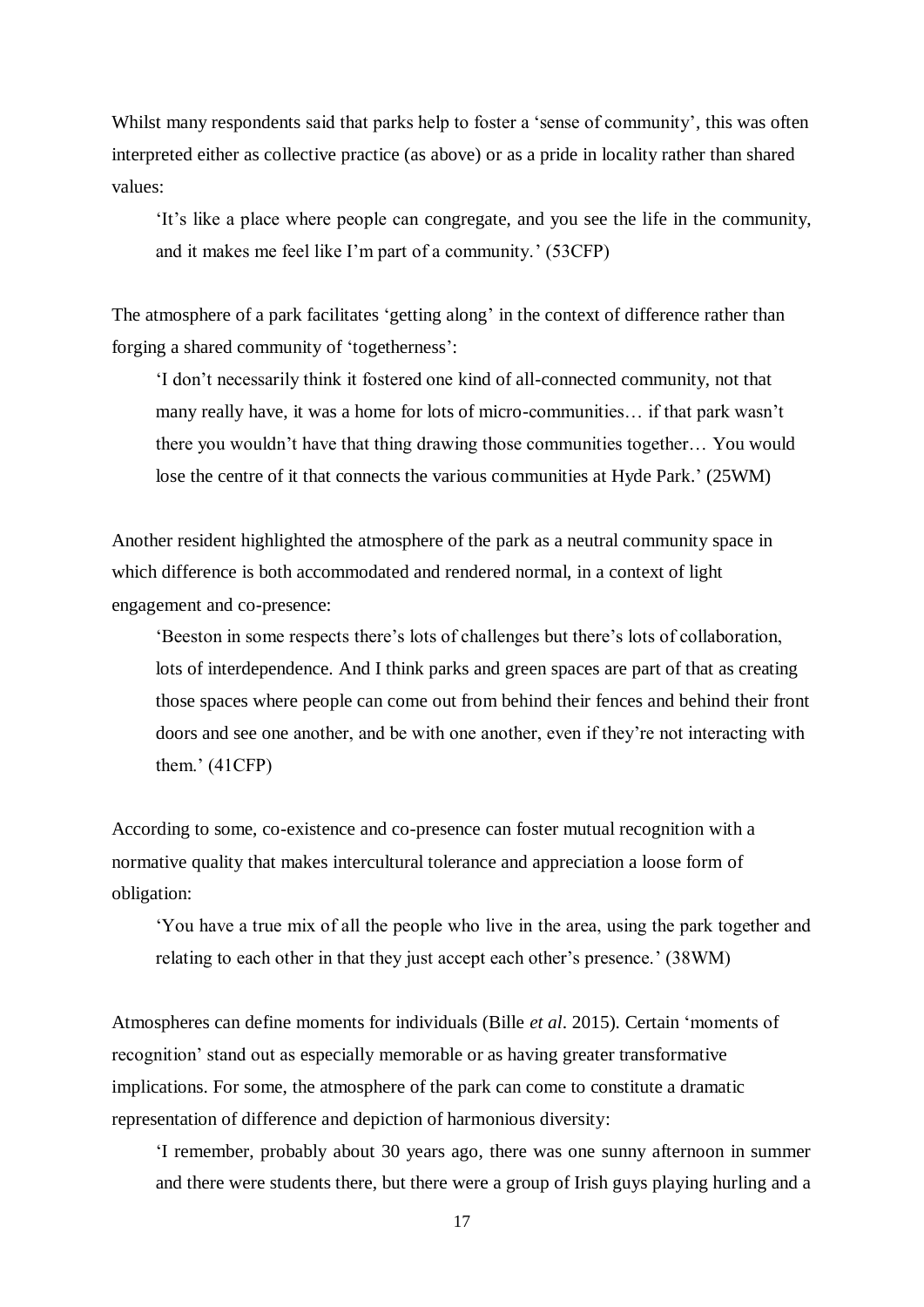Whilst many respondents said that parks help to foster a 'sense of community', this was often interpreted either as collective practice (as above) or as a pride in locality rather than shared values:

'It's like a place where people can congregate, and you see the life in the community, and it makes me feel like I'm part of a community.' (53CFP)

The atmosphere of a park facilitates 'getting along' in the context of difference rather than forging a shared community of 'togetherness':

'I don't necessarily think it fostered one kind of all-connected community, not that many really have, it was a home for lots of micro-communities… if that park wasn't there you wouldn't have that thing drawing those communities together… You would lose the centre of it that connects the various communities at Hyde Park.' (25WM)

Another resident highlighted the atmosphere of the park as a neutral community space in which difference is both accommodated and rendered normal, in a context of light engagement and co-presence:

'Beeston in some respects there's lots of challenges but there's lots of collaboration, lots of interdependence. And I think parks and green spaces are part of that as creating those spaces where people can come out from behind their fences and behind their front doors and see one another, and be with one another, even if they're not interacting with them.' (41CFP)

According to some, co-existence and co-presence can foster mutual recognition with a normative quality that makes intercultural tolerance and appreciation a loose form of obligation:

'You have a true mix of all the people who live in the area, using the park together and relating to each other in that they just accept each other's presence.' (38WM)

Atmospheres can define moments for individuals (Bille *et al*. 2015). Certain 'moments of recognition' stand out as especially memorable or as having greater transformative implications. For some, the atmosphere of the park can come to constitute a dramatic representation of difference and depiction of harmonious diversity:

'I remember, probably about 30 years ago, there was one sunny afternoon in summer and there were students there, but there were a group of Irish guys playing hurling and a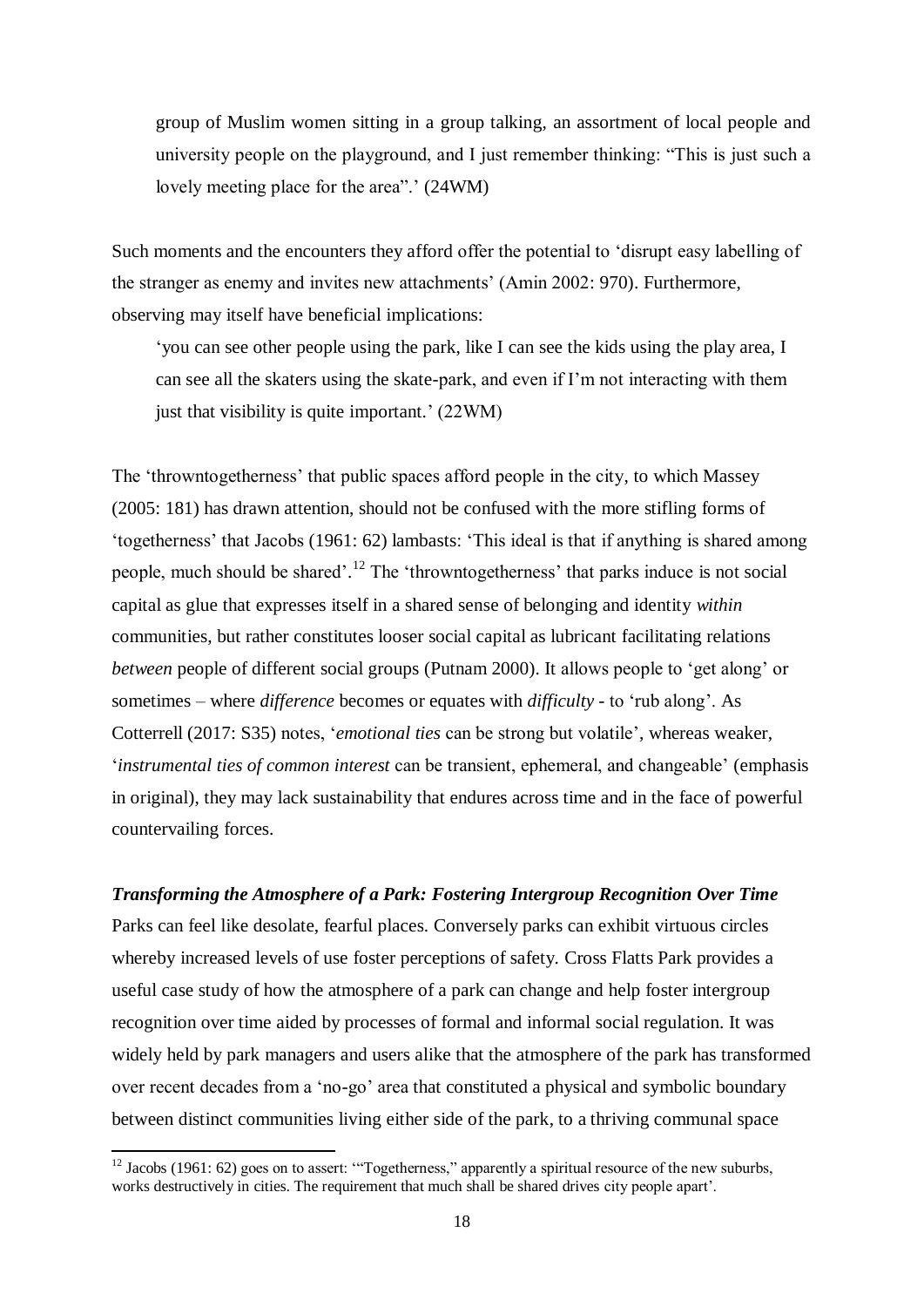group of Muslim women sitting in a group talking, an assortment of local people and university people on the playground, and I just remember thinking: "This is just such a lovely meeting place for the area".' (24WM)

Such moments and the encounters they afford offer the potential to 'disrupt easy labelling of the stranger as enemy and invites new attachments' (Amin 2002: 970). Furthermore, observing may itself have beneficial implications:

'you can see other people using the park, like I can see the kids using the play area, I can see all the skaters using the skate-park, and even if I'm not interacting with them just that visibility is quite important.' (22WM)

The 'throwntogetherness' that public spaces afford people in the city, to which Massey (2005: 181) has drawn attention, should not be confused with the more stifling forms of 'togetherness' that Jacobs (1961: 62) lambasts: 'This ideal is that if anything is shared among people, much should be shared'.<sup>12</sup> The 'throwntogetherness' that parks induce is not social capital as glue that expresses itself in a shared sense of belonging and identity *within* communities, but rather constitutes looser social capital as lubricant facilitating relations *between* people of different social groups (Putnam 2000). It allows people to 'get along' or sometimes – where *difference* becomes or equates with *difficulty* - to 'rub along'. As Cotterrell (2017: S35) notes, '*emotional ties* can be strong but volatile', whereas weaker, '*instrumental ties of common interest* can be transient, ephemeral, and changeable' (emphasis in original), they may lack sustainability that endures across time and in the face of powerful countervailing forces.

*Transforming the Atmosphere of a Park: Fostering Intergroup Recognition Over Time* Parks can feel like desolate, fearful places. Conversely parks can exhibit virtuous circles whereby increased levels of use foster perceptions of safety. Cross Flatts Park provides a useful case study of how the atmosphere of a park can change and help foster intergroup recognition over time aided by processes of formal and informal social regulation. It was widely held by park managers and users alike that the atmosphere of the park has transformed over recent decades from a 'no-go' area that constituted a physical and symbolic boundary between distinct communities living either side of the park, to a thriving communal space

 $12$  Jacobs (1961: 62) goes on to assert: "Togetherness," apparently a spiritual resource of the new suburbs, works destructively in cities. The requirement that much shall be shared drives city people apart'.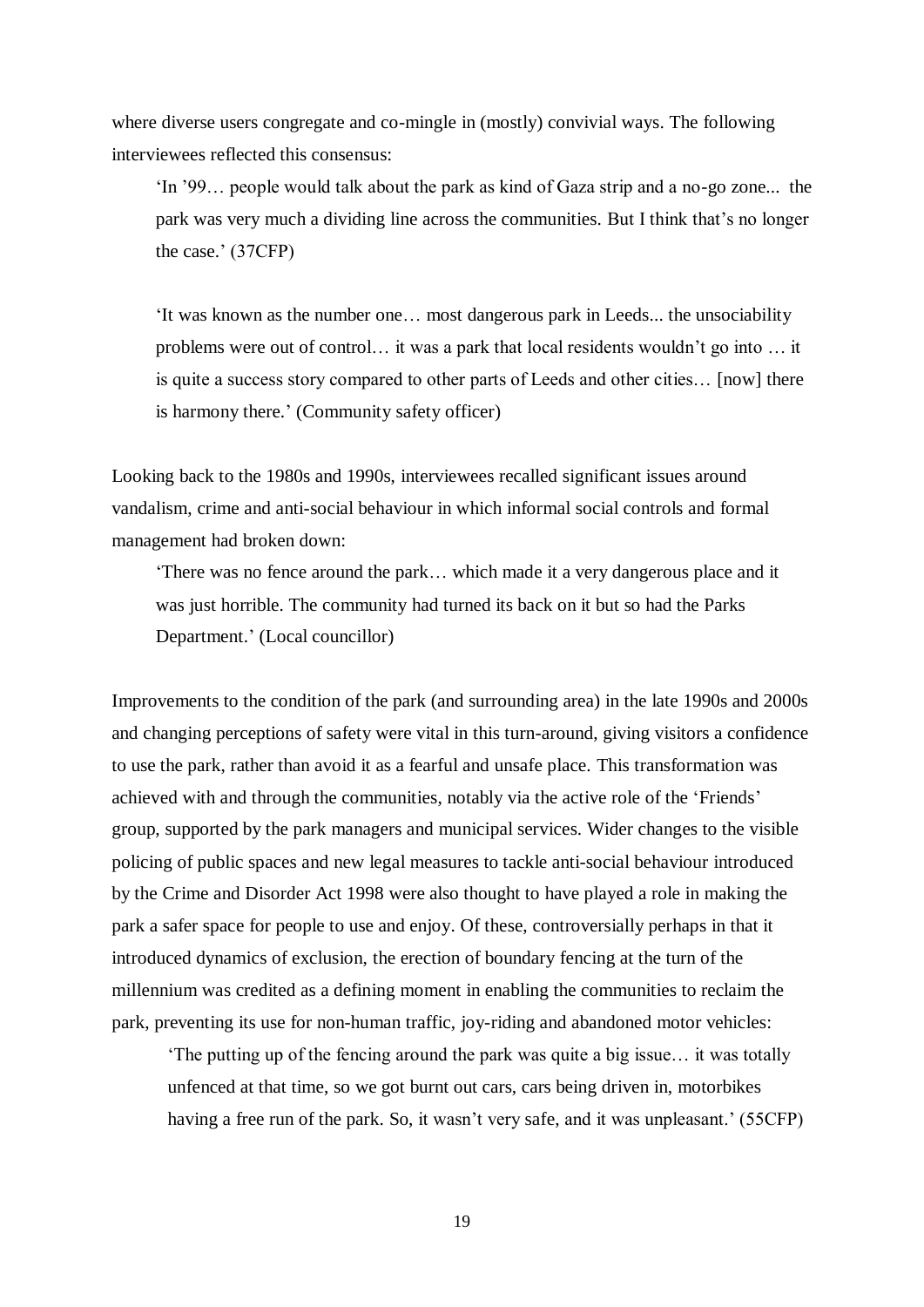where diverse users congregate and co-mingle in (mostly) convivial ways. The following interviewees reflected this consensus:

'In '99… people would talk about the park as kind of Gaza strip and a no-go zone... the park was very much a dividing line across the communities. But I think that's no longer the case.' (37CFP)

'It was known as the number one… most dangerous park in Leeds... the unsociability problems were out of control… it was a park that local residents wouldn't go into … it is quite a success story compared to other parts of Leeds and other cities… [now] there is harmony there.' (Community safety officer)

Looking back to the 1980s and 1990s, interviewees recalled significant issues around vandalism, crime and anti-social behaviour in which informal social controls and formal management had broken down:

'There was no fence around the park… which made it a very dangerous place and it was just horrible. The community had turned its back on it but so had the Parks Department.' (Local councillor)

Improvements to the condition of the park (and surrounding area) in the late 1990s and 2000s and changing perceptions of safety were vital in this turn-around, giving visitors a confidence to use the park, rather than avoid it as a fearful and unsafe place. This transformation was achieved with and through the communities, notably via the active role of the 'Friends' group, supported by the park managers and municipal services. Wider changes to the visible policing of public spaces and new legal measures to tackle anti-social behaviour introduced by the Crime and Disorder Act 1998 were also thought to have played a role in making the park a safer space for people to use and enjoy. Of these, controversially perhaps in that it introduced dynamics of exclusion, the erection of boundary fencing at the turn of the millennium was credited as a defining moment in enabling the communities to reclaim the park, preventing its use for non-human traffic, joy-riding and abandoned motor vehicles:

'The putting up of the fencing around the park was quite a big issue… it was totally unfenced at that time, so we got burnt out cars, cars being driven in, motorbikes having a free run of the park. So, it wasn't very safe, and it was unpleasant.' (55CFP)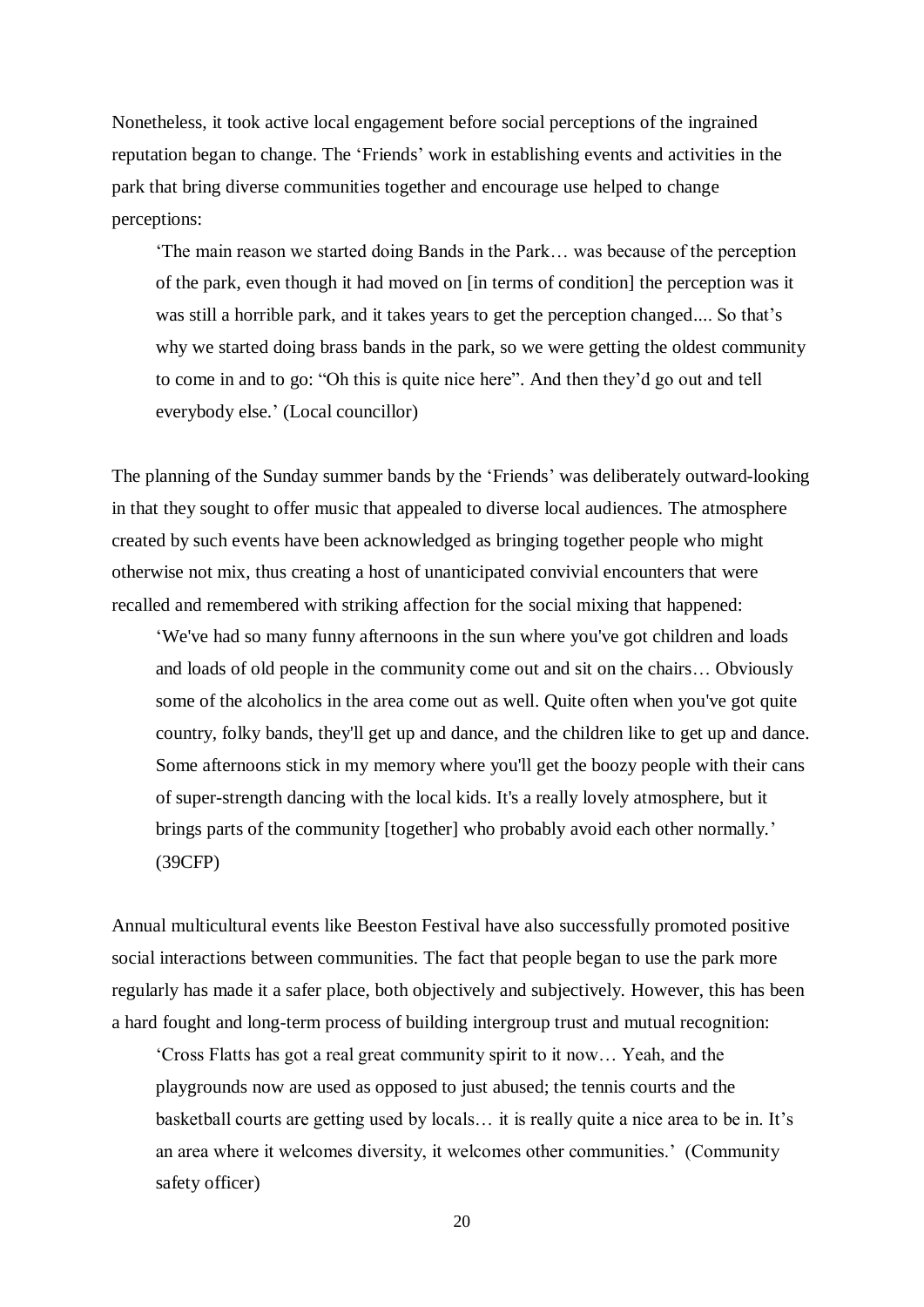Nonetheless, it took active local engagement before social perceptions of the ingrained reputation began to change. The 'Friends' work in establishing events and activities in the park that bring diverse communities together and encourage use helped to change perceptions:

'The main reason we started doing Bands in the Park… was because of the perception of the park, even though it had moved on [in terms of condition] the perception was it was still a horrible park, and it takes years to get the perception changed.... So that's why we started doing brass bands in the park, so we were getting the oldest community to come in and to go: "Oh this is quite nice here". And then they'd go out and tell everybody else.' (Local councillor)

The planning of the Sunday summer bands by the 'Friends' was deliberately outward-looking in that they sought to offer music that appealed to diverse local audiences. The atmosphere created by such events have been acknowledged as bringing together people who might otherwise not mix, thus creating a host of unanticipated convivial encounters that were recalled and remembered with striking affection for the social mixing that happened:

'We've had so many funny afternoons in the sun where you've got children and loads and loads of old people in the community come out and sit on the chairs… Obviously some of the alcoholics in the area come out as well. Quite often when you've got quite country, folky bands, they'll get up and dance, and the children like to get up and dance. Some afternoons stick in my memory where you'll get the boozy people with their cans of super-strength dancing with the local kids. It's a really lovely atmosphere, but it brings parts of the community [together] who probably avoid each other normally.' (39CFP)

Annual multicultural events like Beeston Festival have also successfully promoted positive social interactions between communities. The fact that people began to use the park more regularly has made it a safer place, both objectively and subjectively. However, this has been a hard fought and long-term process of building intergroup trust and mutual recognition:

'Cross Flatts has got a real great community spirit to it now… Yeah, and the playgrounds now are used as opposed to just abused; the tennis courts and the basketball courts are getting used by locals… it is really quite a nice area to be in. It's an area where it welcomes diversity, it welcomes other communities.' (Community safety officer)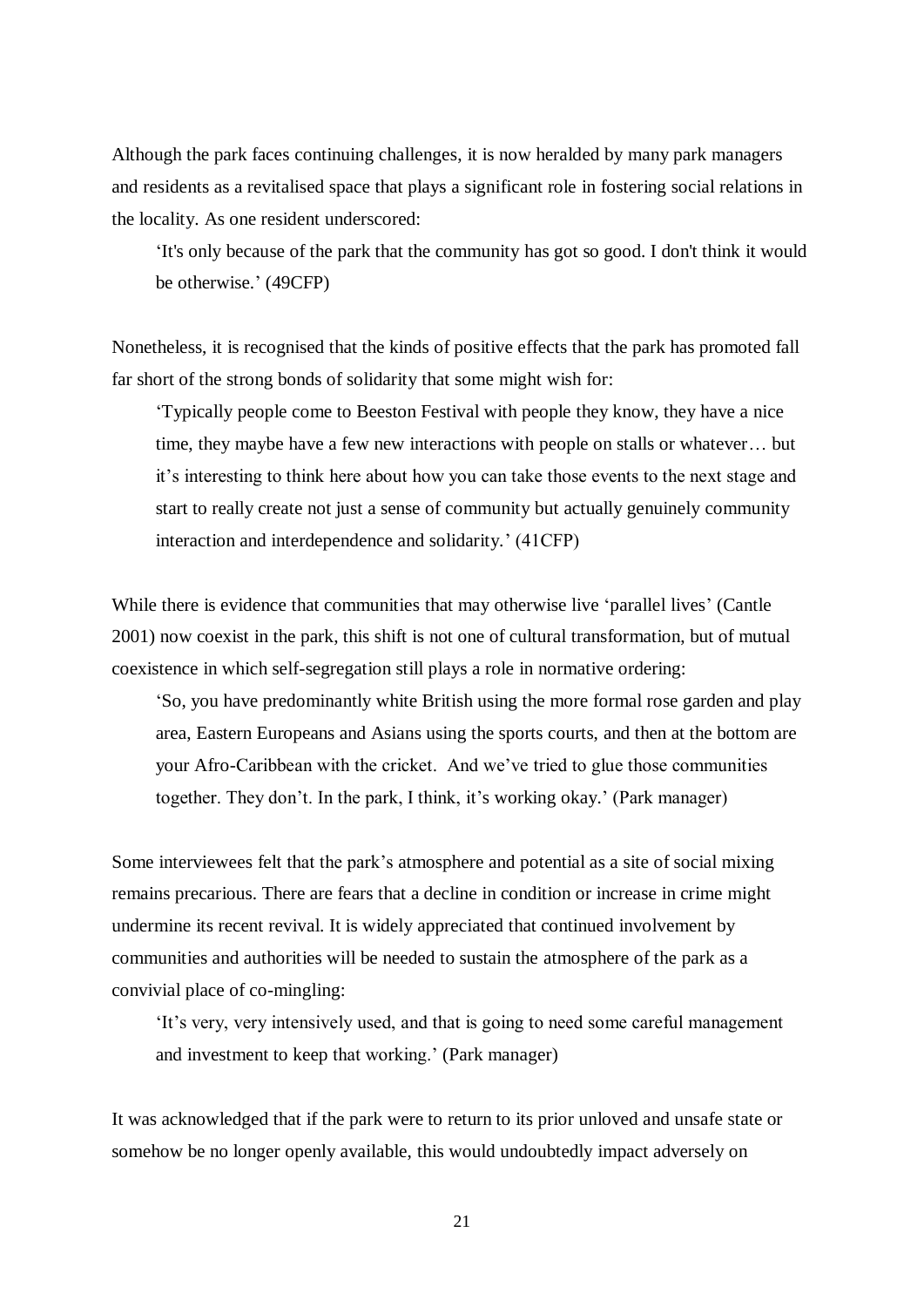Although the park faces continuing challenges, it is now heralded by many park managers and residents as a revitalised space that plays a significant role in fostering social relations in the locality. As one resident underscored:

'It's only because of the park that the community has got so good. I don't think it would be otherwise.' (49CFP)

Nonetheless, it is recognised that the kinds of positive effects that the park has promoted fall far short of the strong bonds of solidarity that some might wish for:

'Typically people come to Beeston Festival with people they know, they have a nice time, they maybe have a few new interactions with people on stalls or whatever… but it's interesting to think here about how you can take those events to the next stage and start to really create not just a sense of community but actually genuinely community interaction and interdependence and solidarity.' (41CFP)

While there is evidence that communities that may otherwise live 'parallel lives' (Cantle 2001) now coexist in the park, this shift is not one of cultural transformation, but of mutual coexistence in which self-segregation still plays a role in normative ordering:

'So, you have predominantly white British using the more formal rose garden and play area, Eastern Europeans and Asians using the sports courts, and then at the bottom are your Afro-Caribbean with the cricket. And we've tried to glue those communities together. They don't. In the park, I think, it's working okay.' (Park manager)

Some interviewees felt that the park's atmosphere and potential as a site of social mixing remains precarious. There are fears that a decline in condition or increase in crime might undermine its recent revival. It is widely appreciated that continued involvement by communities and authorities will be needed to sustain the atmosphere of the park as a convivial place of co-mingling:

'It's very, very intensively used, and that is going to need some careful management and investment to keep that working.' (Park manager)

It was acknowledged that if the park were to return to its prior unloved and unsafe state or somehow be no longer openly available, this would undoubtedly impact adversely on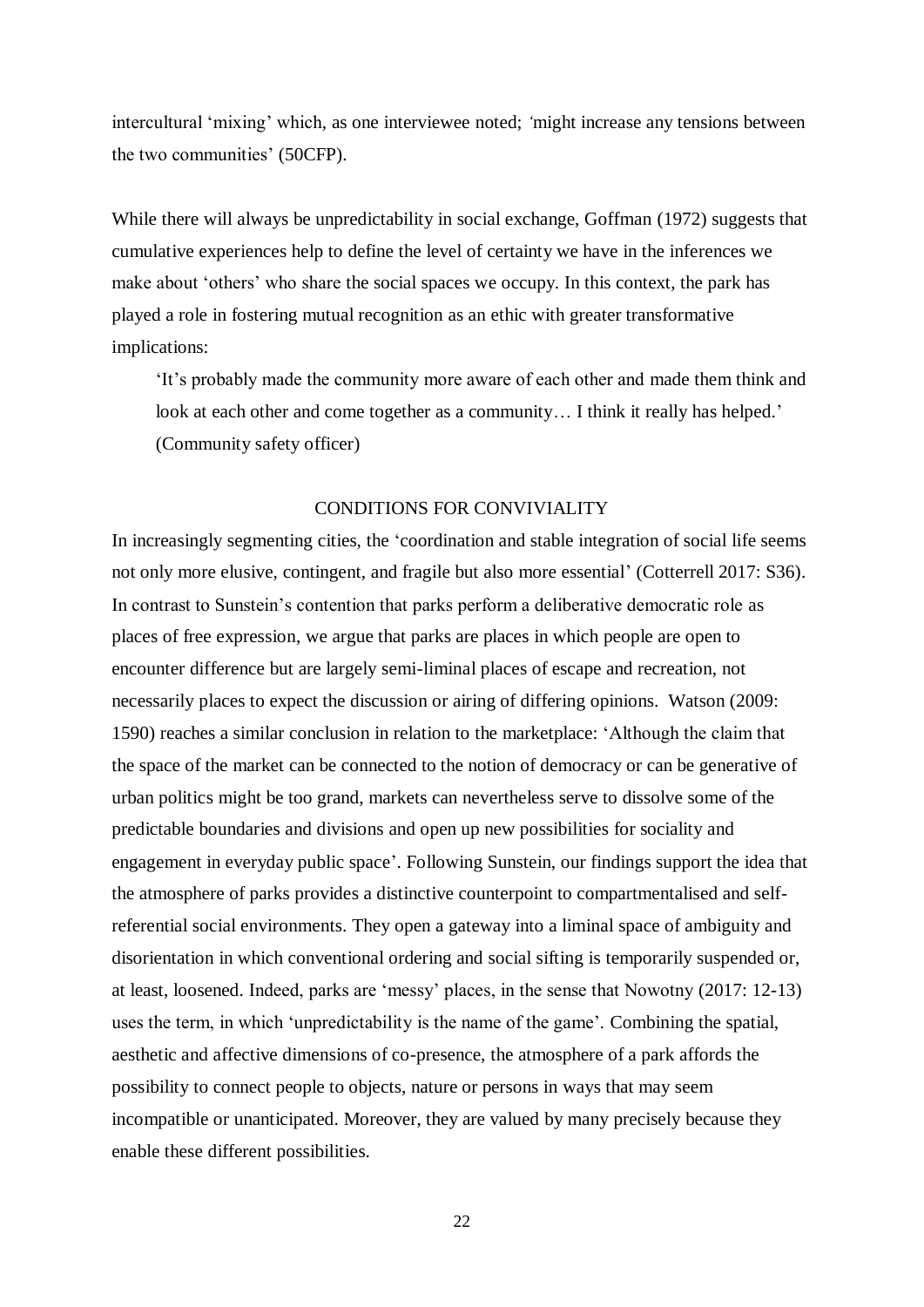intercultural 'mixing' which, as one interviewee noted; *'*might increase any tensions between the two communities' (50CFP).

While there will always be unpredictability in social exchange, Goffman (1972) suggests that cumulative experiences help to define the level of certainty we have in the inferences we make about 'others' who share the social spaces we occupy. In this context, the park has played a role in fostering mutual recognition as an ethic with greater transformative implications:

'It's probably made the community more aware of each other and made them think and look at each other and come together as a community... I think it really has helped.' (Community safety officer)

# CONDITIONS FOR CONVIVIALITY

In increasingly segmenting cities, the 'coordination and stable integration of social life seems not only more elusive, contingent, and fragile but also more essential' (Cotterrell 2017: S36). In contrast to Sunstein's contention that parks perform a deliberative democratic role as places of free expression, we argue that parks are places in which people are open to encounter difference but are largely semi-liminal places of escape and recreation, not necessarily places to expect the discussion or airing of differing opinions. Watson (2009: 1590) reaches a similar conclusion in relation to the marketplace: 'Although the claim that the space of the market can be connected to the notion of democracy or can be generative of urban politics might be too grand, markets can nevertheless serve to dissolve some of the predictable boundaries and divisions and open up new possibilities for sociality and engagement in everyday public space'. Following Sunstein, our findings support the idea that the atmosphere of parks provides a distinctive counterpoint to compartmentalised and selfreferential social environments. They open a gateway into a liminal space of ambiguity and disorientation in which conventional ordering and social sifting is temporarily suspended or, at least, loosened. Indeed, parks are 'messy' places, in the sense that Nowotny (2017: 12-13) uses the term, in which 'unpredictability is the name of the game'. Combining the spatial, aesthetic and affective dimensions of co-presence, the atmosphere of a park affords the possibility to connect people to objects, nature or persons in ways that may seem incompatible or unanticipated. Moreover, they are valued by many precisely because they enable these different possibilities.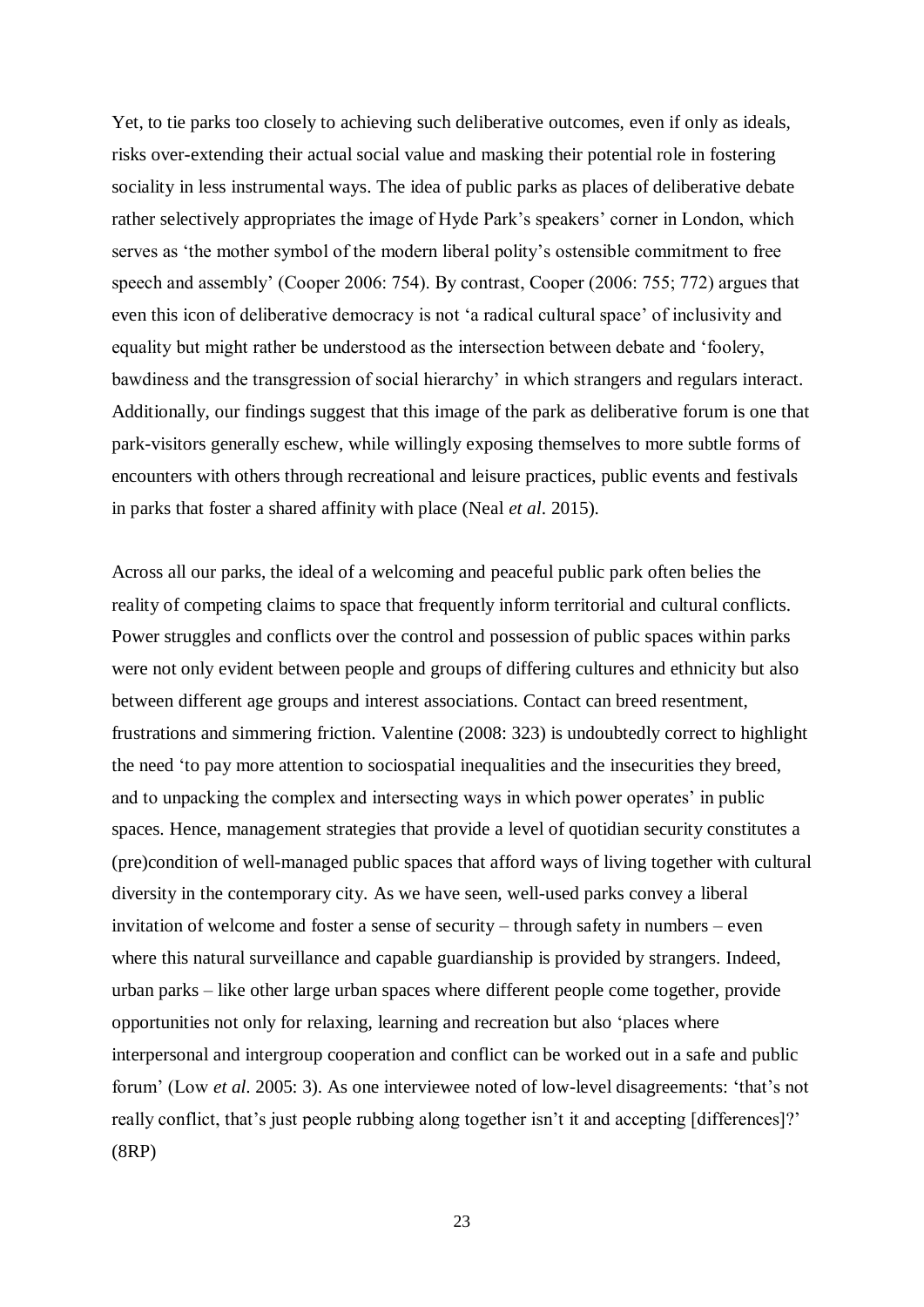Yet, to tie parks too closely to achieving such deliberative outcomes, even if only as ideals, risks over-extending their actual social value and masking their potential role in fostering sociality in less instrumental ways. The idea of public parks as places of deliberative debate rather selectively appropriates the image of Hyde Park's speakers' corner in London, which serves as 'the mother symbol of the modern liberal polity's ostensible commitment to free speech and assembly' (Cooper 2006: 754). By contrast, Cooper (2006: 755; 772) argues that even this icon of deliberative democracy is not 'a radical cultural space' of inclusivity and equality but might rather be understood as the intersection between debate and 'foolery, bawdiness and the transgression of social hierarchy' in which strangers and regulars interact. Additionally, our findings suggest that this image of the park as deliberative forum is one that park-visitors generally eschew, while willingly exposing themselves to more subtle forms of encounters with others through recreational and leisure practices, public events and festivals in parks that foster a shared affinity with place (Neal *et al*. 2015).

Across all our parks, the ideal of a welcoming and peaceful public park often belies the reality of competing claims to space that frequently inform territorial and cultural conflicts. Power struggles and conflicts over the control and possession of public spaces within parks were not only evident between people and groups of differing cultures and ethnicity but also between different age groups and interest associations. Contact can breed resentment, frustrations and simmering friction. Valentine (2008: 323) is undoubtedly correct to highlight the need 'to pay more attention to sociospatial inequalities and the insecurities they breed, and to unpacking the complex and intersecting ways in which power operates' in public spaces. Hence, management strategies that provide a level of quotidian security constitutes a (pre)condition of well-managed public spaces that afford ways of living together with cultural diversity in the contemporary city. As we have seen, well-used parks convey a liberal invitation of welcome and foster a sense of security – through safety in numbers – even where this natural surveillance and capable guardianship is provided by strangers. Indeed, urban parks – like other large urban spaces where different people come together, provide opportunities not only for relaxing, learning and recreation but also 'places where interpersonal and intergroup cooperation and conflict can be worked out in a safe and public forum' (Low *et al*. 2005: 3). As one interviewee noted of low-level disagreements: 'that's not really conflict, that's just people rubbing along together isn't it and accepting [differences]?' (8RP)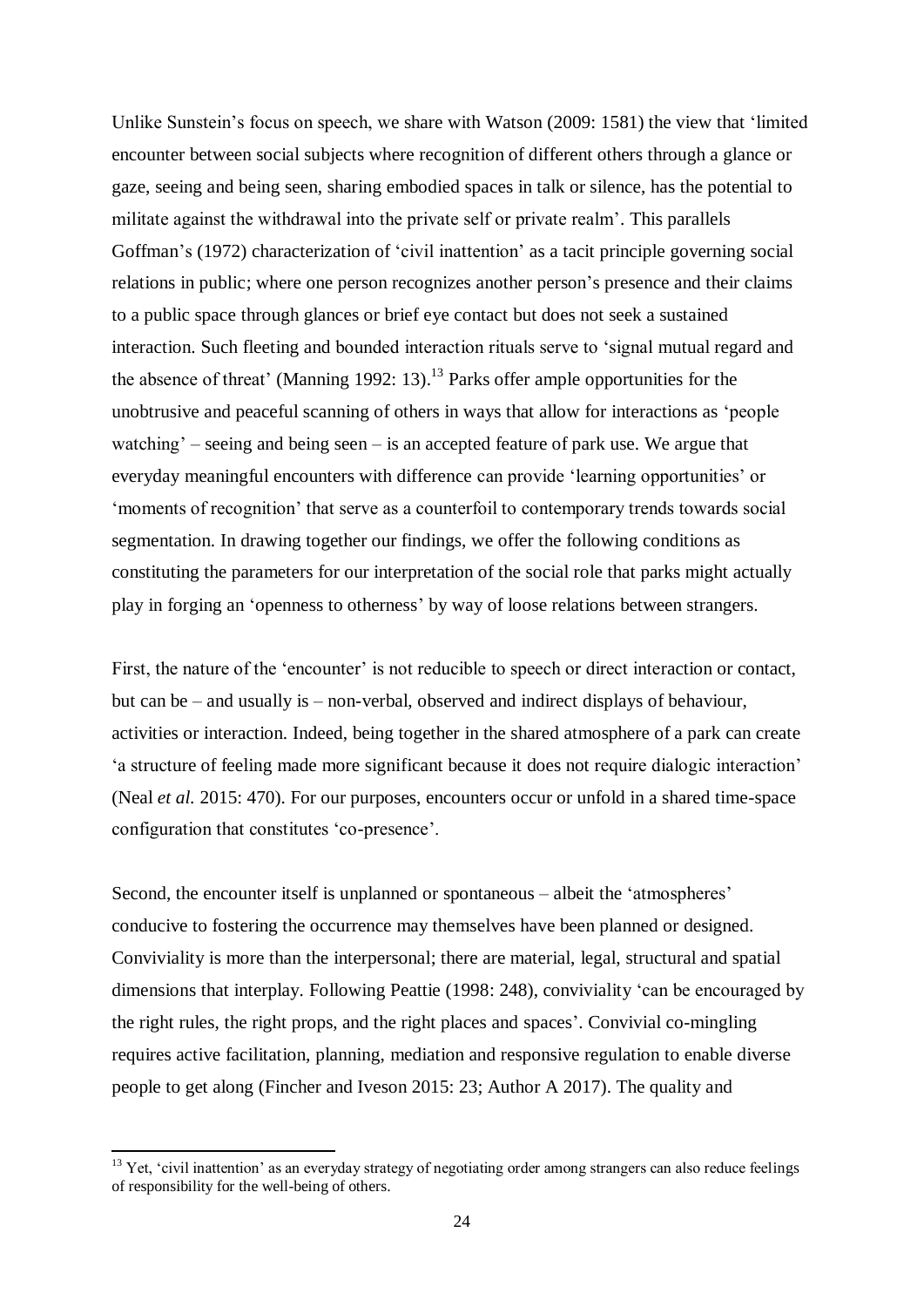Unlike Sunstein's focus on speech, we share with Watson (2009: 1581) the view that 'limited encounter between social subjects where recognition of different others through a glance or gaze, seeing and being seen, sharing embodied spaces in talk or silence, has the potential to militate against the withdrawal into the private self or private realm'. This parallels Goffman's (1972) characterization of 'civil inattention' as a tacit principle governing social relations in public; where one person recognizes another person's presence and their claims to a public space through glances or brief eye contact but does not seek a sustained interaction. Such fleeting and bounded interaction rituals serve to 'signal mutual regard and the absence of threat' (Manning 1992: 13).<sup>13</sup> Parks offer ample opportunities for the unobtrusive and peaceful scanning of others in ways that allow for interactions as 'people watching' – seeing and being seen – is an accepted feature of park use. We argue that everyday meaningful encounters with difference can provide 'learning opportunities' or 'moments of recognition' that serve as a counterfoil to contemporary trends towards social segmentation. In drawing together our findings, we offer the following conditions as constituting the parameters for our interpretation of the social role that parks might actually play in forging an 'openness to otherness' by way of loose relations between strangers.

First, the nature of the 'encounter' is not reducible to speech or direct interaction or contact, but can be – and usually is – non-verbal, observed and indirect displays of behaviour, activities or interaction. Indeed, being together in the shared atmosphere of a park can create 'a structure of feeling made more significant because it does not require dialogic interaction' (Neal *et al.* 2015: 470). For our purposes, encounters occur or unfold in a shared time-space configuration that constitutes 'co-presence'.

Second, the encounter itself is unplanned or spontaneous – albeit the 'atmospheres' conducive to fostering the occurrence may themselves have been planned or designed. Conviviality is more than the interpersonal; there are material, legal, structural and spatial dimensions that interplay. Following Peattie (1998: 248), conviviality 'can be encouraged by the right rules, the right props, and the right places and spaces'. Convivial co-mingling requires active facilitation, planning, mediation and responsive regulation to enable diverse people to get along (Fincher and Iveson 2015: 23; Author A 2017). The quality and

 $13$  Yet, 'civil inattention' as an everyday strategy of negotiating order among strangers can also reduce feelings of responsibility for the well-being of others.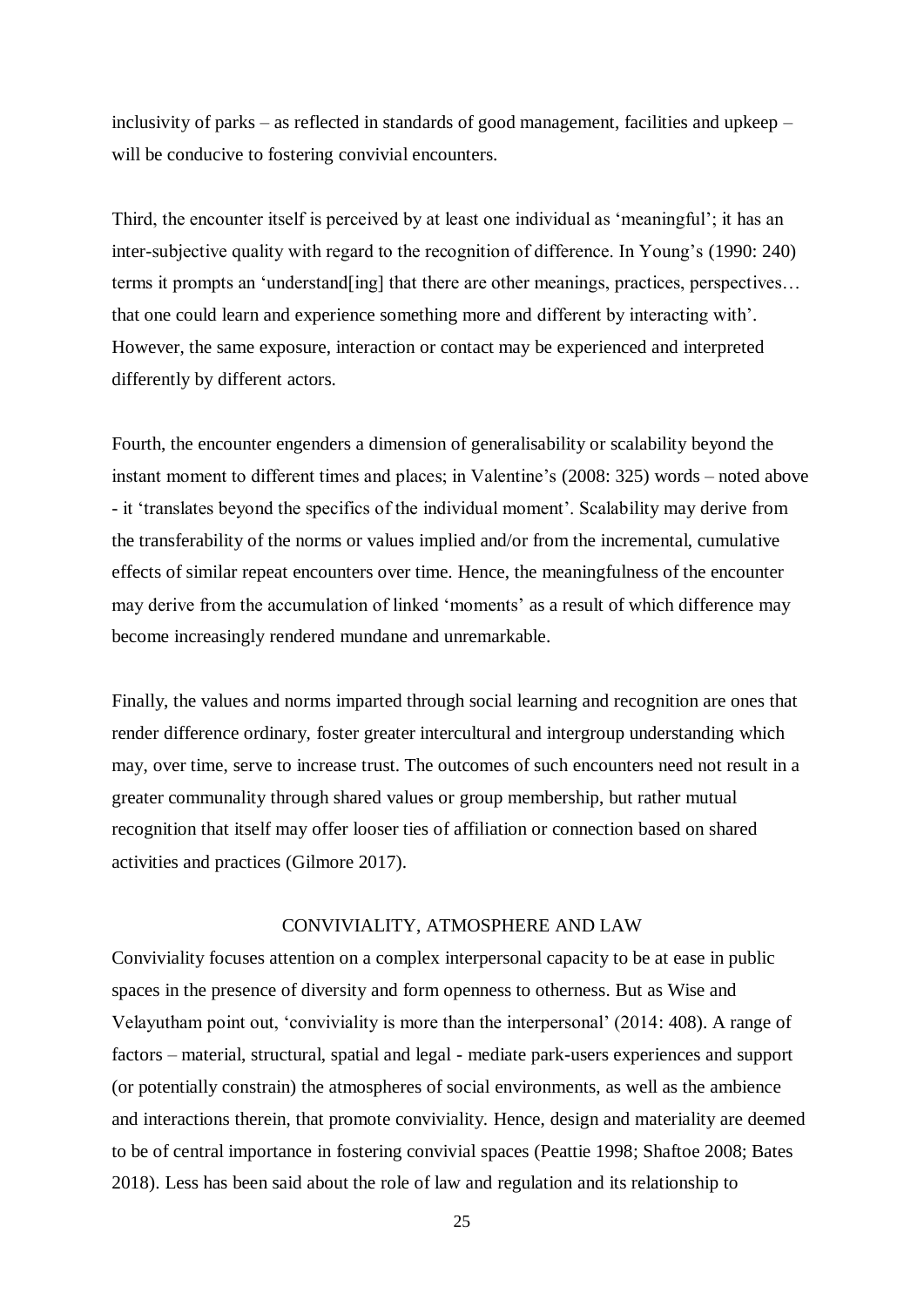inclusivity of parks – as reflected in standards of good management, facilities and upkeep – will be conducive to fostering convivial encounters.

Third, the encounter itself is perceived by at least one individual as 'meaningful'; it has an inter-subjective quality with regard to the recognition of difference. In Young's (1990: 240) terms it prompts an 'understand[ing] that there are other meanings, practices, perspectives… that one could learn and experience something more and different by interacting with'. However, the same exposure, interaction or contact may be experienced and interpreted differently by different actors.

Fourth, the encounter engenders a dimension of generalisability or scalability beyond the instant moment to different times and places; in Valentine's (2008: 325) words – noted above - it 'translates beyond the specifics of the individual moment'. Scalability may derive from the transferability of the norms or values implied and/or from the incremental, cumulative effects of similar repeat encounters over time. Hence, the meaningfulness of the encounter may derive from the accumulation of linked 'moments' as a result of which difference may become increasingly rendered mundane and unremarkable.

Finally, the values and norms imparted through social learning and recognition are ones that render difference ordinary, foster greater intercultural and intergroup understanding which may, over time, serve to increase trust. The outcomes of such encounters need not result in a greater communality through shared values or group membership, but rather mutual recognition that itself may offer looser ties of affiliation or connection based on shared activities and practices (Gilmore 2017).

# CONVIVIALITY, ATMOSPHERE AND LAW

Conviviality focuses attention on a complex interpersonal capacity to be at ease in public spaces in the presence of diversity and form openness to otherness. But as Wise and Velayutham point out, 'conviviality is more than the interpersonal' (2014: 408). A range of factors – material, structural, spatial and legal - mediate park-users experiences and support (or potentially constrain) the atmospheres of social environments, as well as the ambience and interactions therein, that promote conviviality. Hence, design and materiality are deemed to be of central importance in fostering convivial spaces (Peattie 1998; Shaftoe 2008; Bates 2018). Less has been said about the role of law and regulation and its relationship to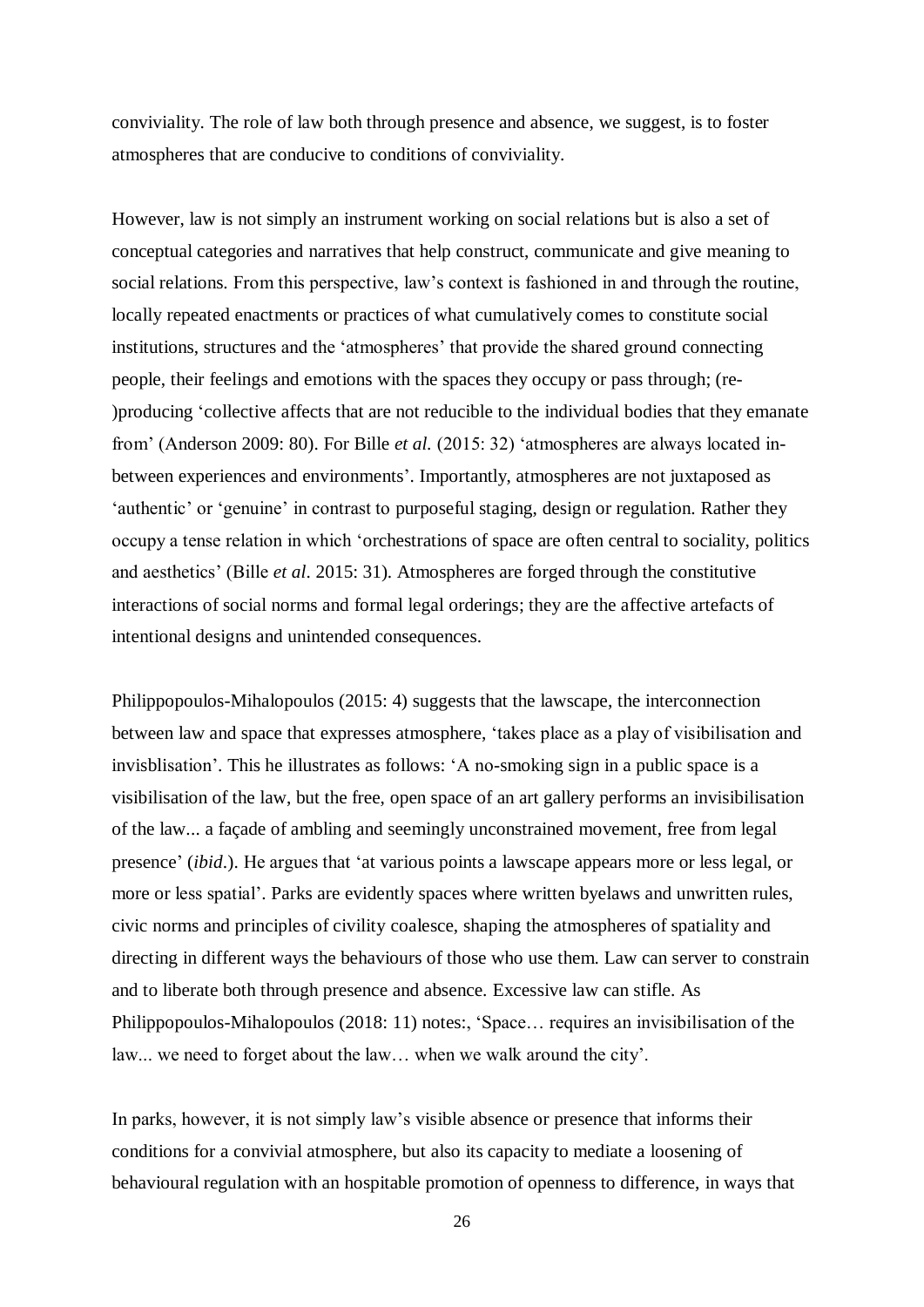conviviality. The role of law both through presence and absence, we suggest, is to foster atmospheres that are conducive to conditions of conviviality.

However, law is not simply an instrument working on social relations but is also a set of conceptual categories and narratives that help construct, communicate and give meaning to social relations. From this perspective, law's context is fashioned in and through the routine, locally repeated enactments or practices of what cumulatively comes to constitute social institutions, structures and the 'atmospheres' that provide the shared ground connecting people, their feelings and emotions with the spaces they occupy or pass through; (re- )producing 'collective affects that are not reducible to the individual bodies that they emanate from' (Anderson 2009: 80). For Bille *et al.* (2015: 32) 'atmospheres are always located inbetween experiences and environments'. Importantly, atmospheres are not juxtaposed as 'authentic' or 'genuine' in contrast to purposeful staging, design or regulation. Rather they occupy a tense relation in which 'orchestrations of space are often central to sociality, politics and aesthetics' (Bille *et al*. 2015: 31). Atmospheres are forged through the constitutive interactions of social norms and formal legal orderings; they are the affective artefacts of intentional designs and unintended consequences.

Philippopoulos-Mihalopoulos (2015: 4) suggests that the lawscape, the interconnection between law and space that expresses atmosphere, 'takes place as a play of visibilisation and invisblisation'. This he illustrates as follows: 'A no-smoking sign in a public space is a visibilisation of the law, but the free, open space of an art gallery performs an invisibilisation of the law... a façade of ambling and seemingly unconstrained movement, free from legal presence' (*ibid*.). He argues that 'at various points a lawscape appears more or less legal, or more or less spatial'. Parks are evidently spaces where written byelaws and unwritten rules, civic norms and principles of civility coalesce, shaping the atmospheres of spatiality and directing in different ways the behaviours of those who use them. Law can server to constrain and to liberate both through presence and absence. Excessive law can stifle. As Philippopoulos-Mihalopoulos (2018: 11) notes:, 'Space… requires an invisibilisation of the law... we need to forget about the law… when we walk around the city'.

In parks, however, it is not simply law's visible absence or presence that informs their conditions for a convivial atmosphere, but also its capacity to mediate a loosening of behavioural regulation with an hospitable promotion of openness to difference, in ways that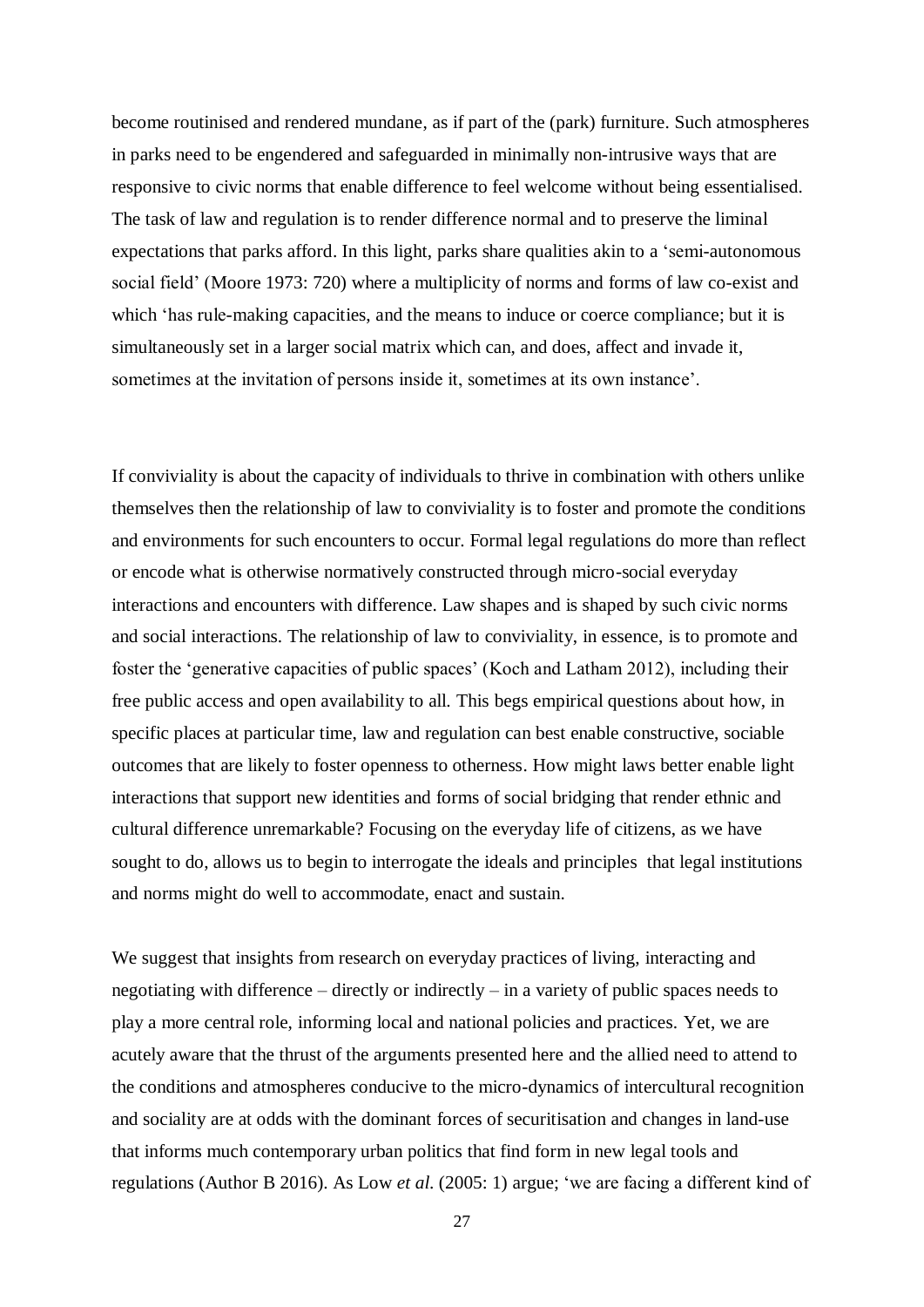become routinised and rendered mundane, as if part of the (park) furniture. Such atmospheres in parks need to be engendered and safeguarded in minimally non-intrusive ways that are responsive to civic norms that enable difference to feel welcome without being essentialised. The task of law and regulation is to render difference normal and to preserve the liminal expectations that parks afford. In this light, parks share qualities akin to a 'semi-autonomous social field' (Moore 1973: 720) where a multiplicity of norms and forms of law co-exist and which 'has rule-making capacities, and the means to induce or coerce compliance; but it is simultaneously set in a larger social matrix which can, and does, affect and invade it, sometimes at the invitation of persons inside it, sometimes at its own instance'.

If conviviality is about the capacity of individuals to thrive in combination with others unlike themselves then the relationship of law to conviviality is to foster and promote the conditions and environments for such encounters to occur. Formal legal regulations do more than reflect or encode what is otherwise normatively constructed through micro-social everyday interactions and encounters with difference. Law shapes and is shaped by such civic norms and social interactions. The relationship of law to conviviality, in essence, is to promote and foster the 'generative capacities of public spaces' (Koch and Latham 2012), including their free public access and open availability to all. This begs empirical questions about how, in specific places at particular time, law and regulation can best enable constructive, sociable outcomes that are likely to foster openness to otherness. How might laws better enable light interactions that support new identities and forms of social bridging that render ethnic and cultural difference unremarkable? Focusing on the everyday life of citizens, as we have sought to do, allows us to begin to interrogate the ideals and principles that legal institutions and norms might do well to accommodate, enact and sustain.

We suggest that insights from research on everyday practices of living, interacting and negotiating with difference – directly or indirectly – in a variety of public spaces needs to play a more central role, informing local and national policies and practices. Yet, we are acutely aware that the thrust of the arguments presented here and the allied need to attend to the conditions and atmospheres conducive to the micro-dynamics of intercultural recognition and sociality are at odds with the dominant forces of securitisation and changes in land-use that informs much contemporary urban politics that find form in new legal tools and regulations (Author B 2016). As Low *et al*. (2005: 1) argue; 'we are facing a different kind of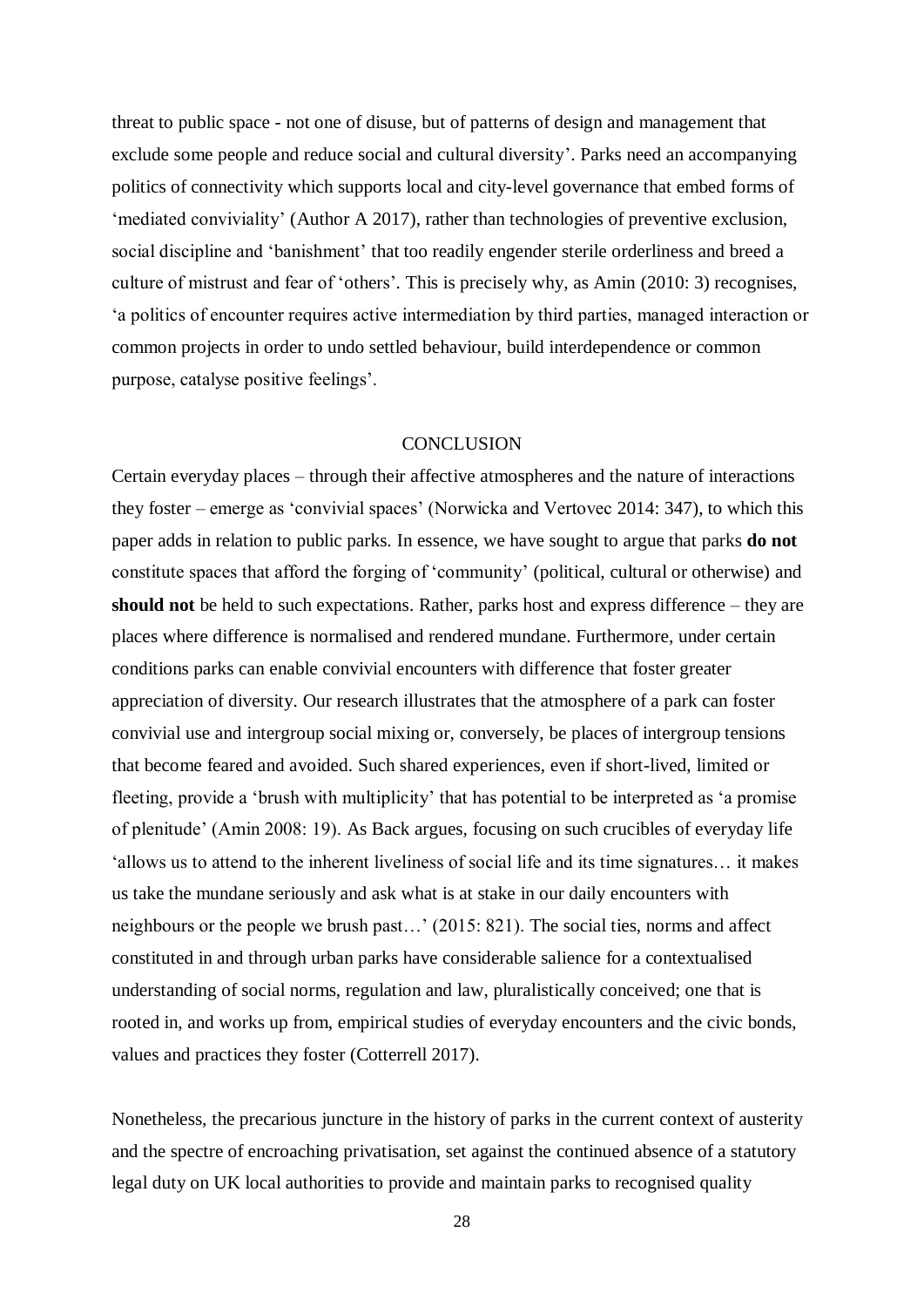threat to public space - not one of disuse, but of patterns of design and management that exclude some people and reduce social and cultural diversity'. Parks need an accompanying politics of connectivity which supports local and city-level governance that embed forms of 'mediated conviviality' (Author A 2017), rather than technologies of preventive exclusion, social discipline and 'banishment' that too readily engender sterile orderliness and breed a culture of mistrust and fear of 'others'. This is precisely why, as Amin (2010: 3) recognises, 'a politics of encounter requires active intermediation by third parties, managed interaction or common projects in order to undo settled behaviour, build interdependence or common purpose, catalyse positive feelings'.

#### **CONCLUSION**

Certain everyday places – through their affective atmospheres and the nature of interactions they foster – emerge as 'convivial spaces' (Norwicka and Vertovec 2014: 347), to which this paper adds in relation to public parks. In essence, we have sought to argue that parks **do not** constitute spaces that afford the forging of 'community' (political, cultural or otherwise) and **should not** be held to such expectations. Rather, parks host and express difference – they are places where difference is normalised and rendered mundane. Furthermore, under certain conditions parks can enable convivial encounters with difference that foster greater appreciation of diversity. Our research illustrates that the atmosphere of a park can foster convivial use and intergroup social mixing or, conversely, be places of intergroup tensions that become feared and avoided. Such shared experiences, even if short-lived, limited or fleeting, provide a 'brush with multiplicity' that has potential to be interpreted as 'a promise of plenitude' (Amin 2008: 19). As Back argues, focusing on such crucibles of everyday life 'allows us to attend to the inherent liveliness of social life and its time signatures… it makes us take the mundane seriously and ask what is at stake in our daily encounters with neighbours or the people we brush past…' (2015: 821). The social ties, norms and affect constituted in and through urban parks have considerable salience for a contextualised understanding of social norms, regulation and law, pluralistically conceived; one that is rooted in, and works up from, empirical studies of everyday encounters and the civic bonds, values and practices they foster (Cotterrell 2017).

Nonetheless, the precarious juncture in the history of parks in the current context of austerity and the spectre of encroaching privatisation, set against the continued absence of a statutory legal duty on UK local authorities to provide and maintain parks to recognised quality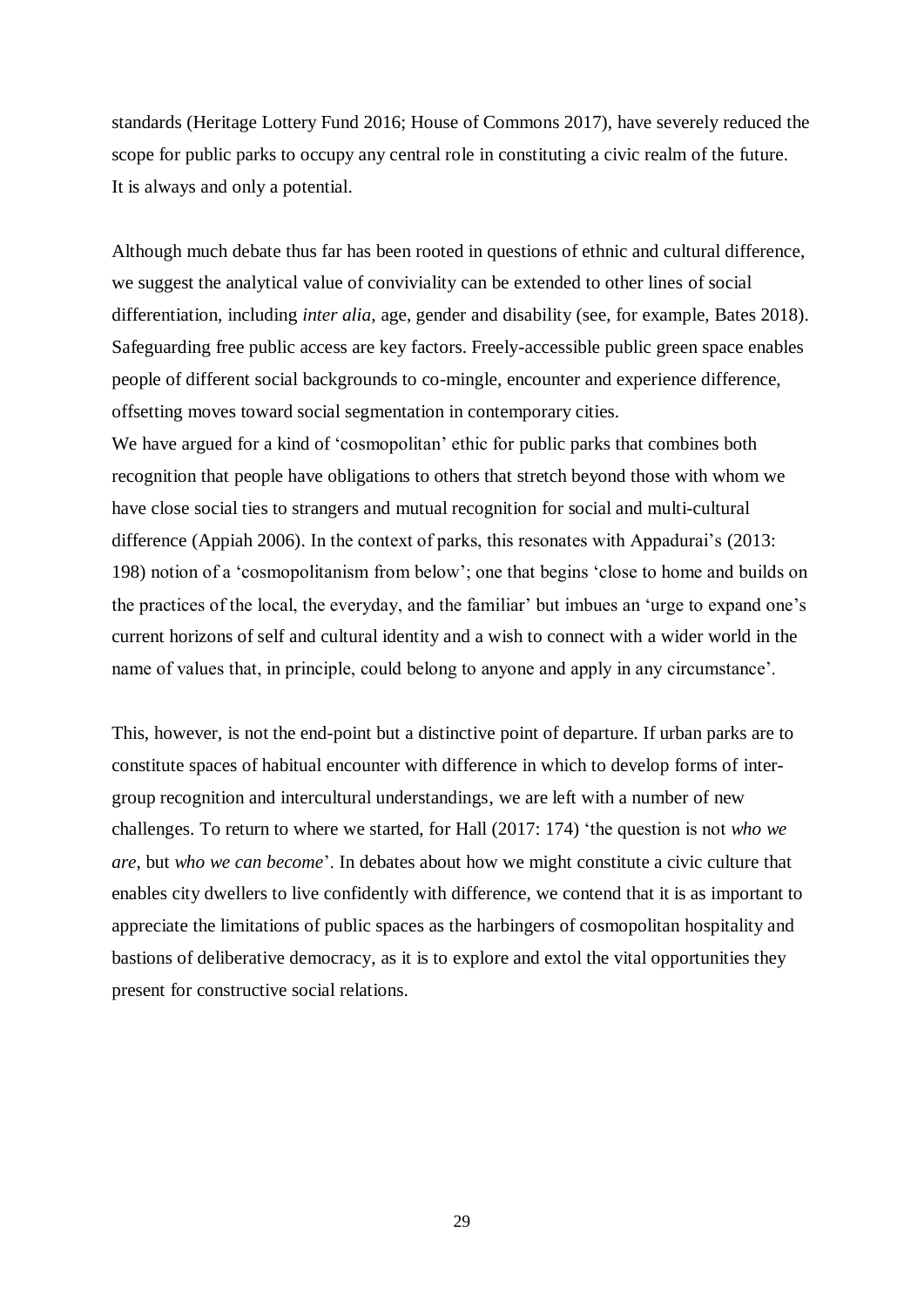standards (Heritage Lottery Fund 2016; House of Commons 2017), have severely reduced the scope for public parks to occupy any central role in constituting a civic realm of the future. It is always and only a potential.

Although much debate thus far has been rooted in questions of ethnic and cultural difference, we suggest the analytical value of conviviality can be extended to other lines of social differentiation, including *inter alia*, age, gender and disability (see, for example, Bates 2018). Safeguarding free public access are key factors. Freely-accessible public green space enables people of different social backgrounds to co-mingle, encounter and experience difference, offsetting moves toward social segmentation in contemporary cities. We have argued for a kind of 'cosmopolitan' ethic for public parks that combines both recognition that people have obligations to others that stretch beyond those with whom we have close social ties to strangers and mutual recognition for social and multi-cultural difference (Appiah 2006). In the context of parks, this resonates with Appadurai's (2013: 198) notion of a 'cosmopolitanism from below'; one that begins 'close to home and builds on the practices of the local, the everyday, and the familiar' but imbues an 'urge to expand one's current horizons of self and cultural identity and a wish to connect with a wider world in the name of values that, in principle, could belong to anyone and apply in any circumstance'.

This, however, is not the end-point but a distinctive point of departure. If urban parks are to constitute spaces of habitual encounter with difference in which to develop forms of intergroup recognition and intercultural understandings, we are left with a number of new challenges. To return to where we started, for Hall (2017: 174) 'the question is not *who we are*, but *who we can become*'. In debates about how we might constitute a civic culture that enables city dwellers to live confidently with difference, we contend that it is as important to appreciate the limitations of public spaces as the harbingers of cosmopolitan hospitality and bastions of deliberative democracy, as it is to explore and extol the vital opportunities they present for constructive social relations.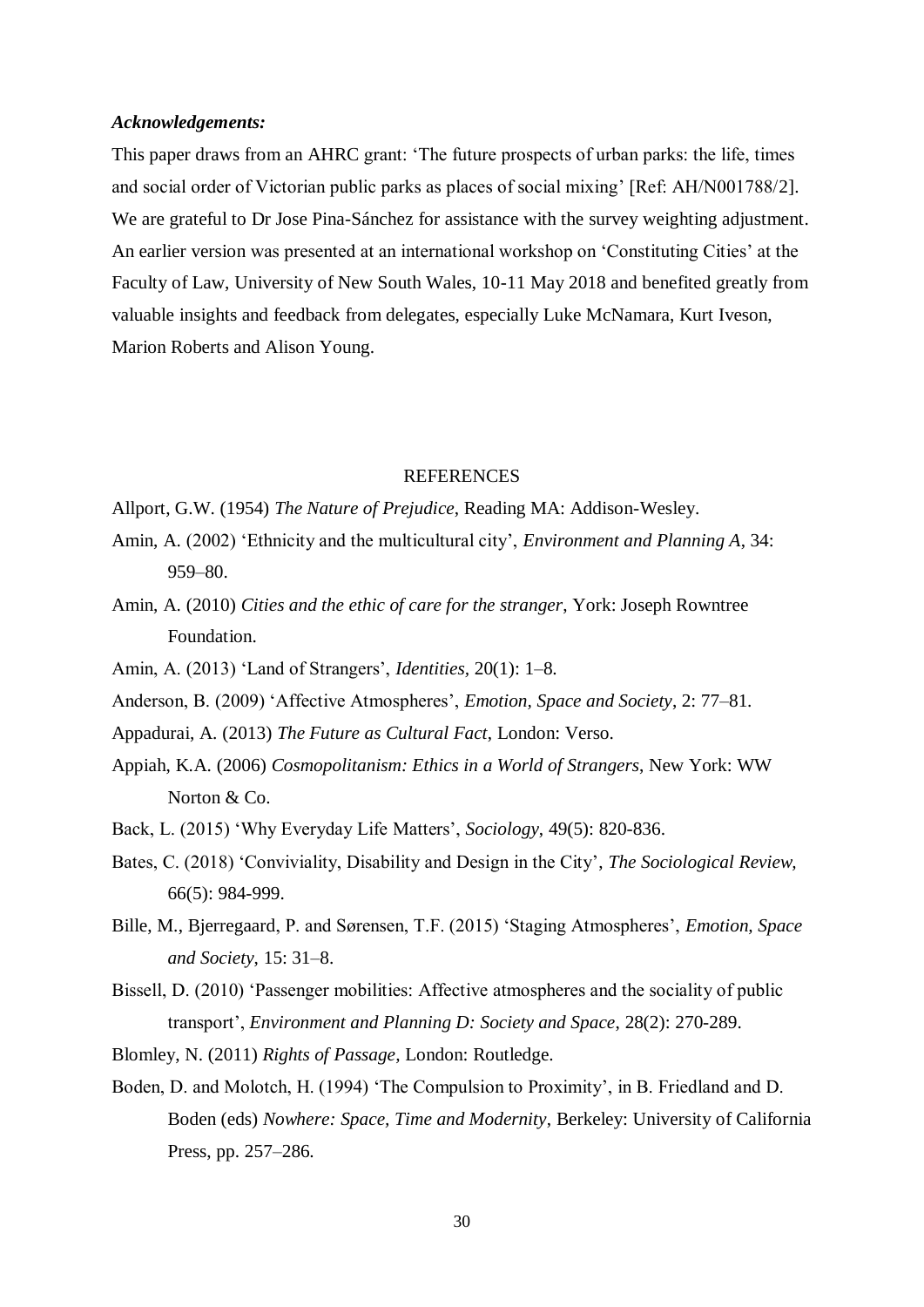## *Acknowledgements:*

This paper draws from an AHRC grant: 'The future prospects of urban parks: the life, times and social order of Victorian public parks as places of social mixing' [Ref: AH/N001788/2]. We are grateful to Dr Jose Pina-Sánchez for assistance with the survey weighting adjustment. An earlier version was presented at an international workshop on 'Constituting Cities' at the Faculty of Law, University of New South Wales, 10-11 May 2018 and benefited greatly from valuable insights and feedback from delegates, especially Luke McNamara, Kurt Iveson, Marion Roberts and Alison Young.

#### **REFERENCES**

- Allport, G.W. (1954) *The Nature of Prejudice*, Reading MA: Addison-Wesley.
- Amin, A. (2002) 'Ethnicity and the multicultural city', *Environment and Planning A*, 34: 959–80.
- Amin, A. (2010) *Cities and the ethic of care for the stranger*, York: Joseph Rowntree Foundation.
- Amin, A. (2013) 'Land of Strangers', *Identities,* 20(1): 1–8.
- Anderson, B. (2009) 'Affective Atmospheres', *Emotion, Space and Society*, 2: 77–81.
- Appadurai, A. (2013) *The Future as Cultural Fact*, London: Verso.
- Appiah, K.A. (2006) *Cosmopolitanism: Ethics in a World of Strangers*, New York: WW Norton & Co.
- Back, L. (2015) 'Why Everyday Life Matters', *Sociology*, 49(5): 820-836.
- Bates, C. (2018) 'Conviviality, Disability and Design in the City', *The Sociological Review,*  66(5): 984-999.
- Bille, M., Bjerregaard, P. and Sørensen, T.F. (2015) 'Staging Atmospheres', *Emotion, Space and Society*, 15: 31–8.
- Bissell, D. (2010) 'Passenger mobilities: Affective atmospheres and the sociality of public transport', *Environment and Planning D: Society and Space*, 28(2): 270-289.
- Blomley, N. (2011) *Rights of Passage,* London: Routledge.
- Boden, D. and Molotch, H. (1994) 'The Compulsion to Proximity', in B. Friedland and D. Boden (eds) *Nowhere: Space, Time and Modernity*, Berkeley: University of California Press, pp. 257–286.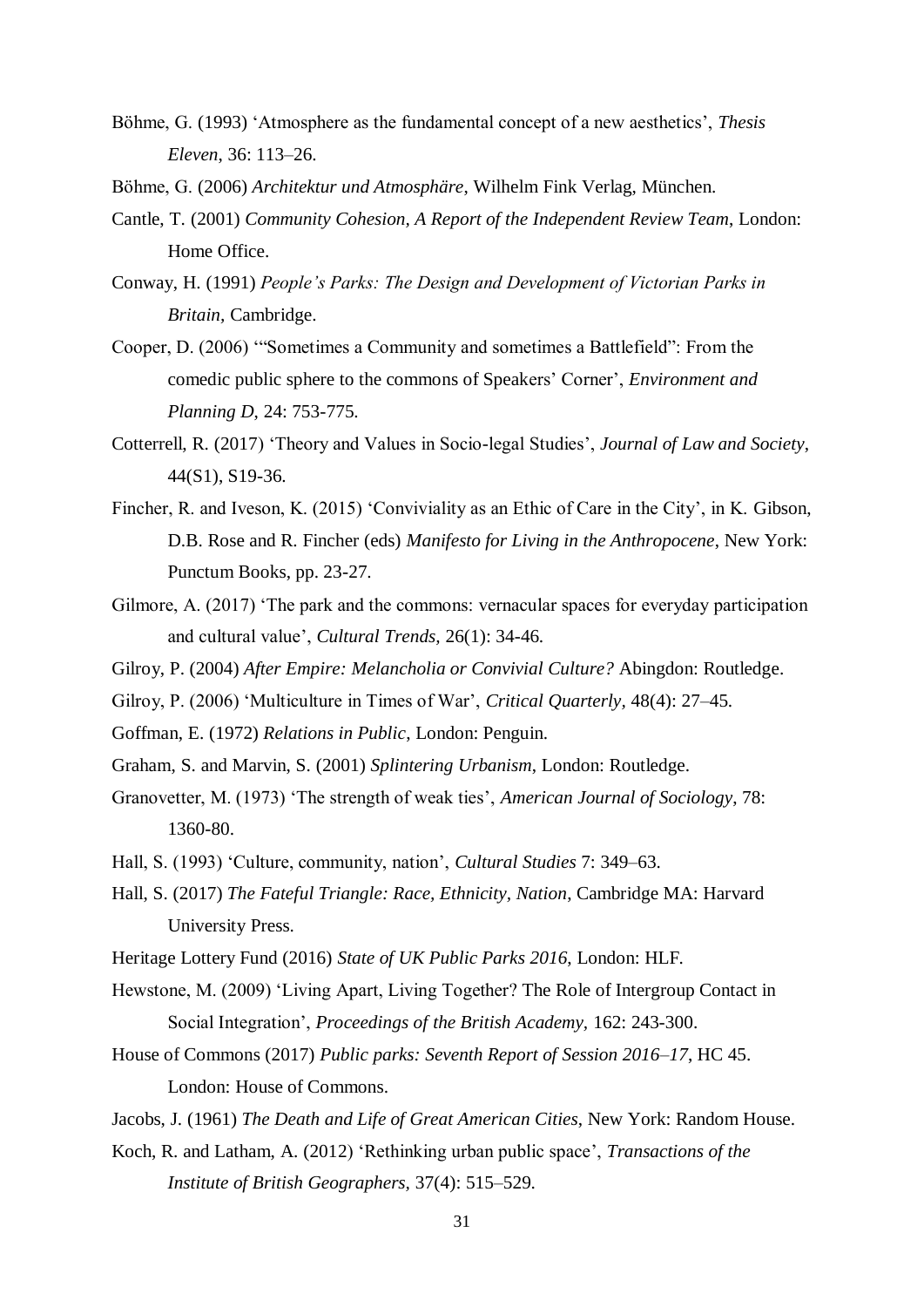- Bӧhme, G. (1993) 'Atmosphere as the fundamental concept of a new aesthetics', *Thesis Eleven*, 36: 113–26.
- Bӧhme, G. (2006) *Architektur und Atmosphäre*, Wilhelm Fink Verlag, München.
- Cantle, T. (2001) *Community Cohesion, A Report of the Independent Review Team*, London: Home Office.
- Conway, H. (1991) *People's Parks: The Design and Development of Victorian Parks in Britain,* Cambridge.
- Cooper, D. (2006) '"Sometimes a Community and sometimes a Battlefield": From the comedic public sphere to the commons of Speakers' Corner', *Environment and Planning D*, 24: 753-775.
- Cotterrell, R. (2017) 'Theory and Values in Socio-legal Studies', *Journal of Law and Society*, 44(S1), S19-36.
- Fincher, R. and Iveson, K. (2015) 'Conviviality as an Ethic of Care in the City', in K. Gibson, D.B. Rose and R. Fincher (eds) *Manifesto for Living in the Anthropocene*, New York: Punctum Books, pp. 23-27.
- Gilmore, A. (2017) 'The park and the commons: vernacular spaces for everyday participation and cultural value', *Cultural Trends,* 26(1): 34-46.
- Gilroy, P. (2004) *After Empire: Melancholia or Convivial Culture?* Abingdon: Routledge.
- Gilroy, P. (2006) 'Multiculture in Times of War', *Critical Quarterly,* 48(4): 27–45.
- Goffman, E. (1972) *Relations in Public*, London: Penguin.
- Graham, S. and Marvin, S. (2001) *Splintering Urbanism*, London: Routledge.
- Granovetter, M. (1973) 'The strength of weak ties', *American Journal of Sociology*, 78: 1360-80.
- Hall, S. (1993) 'Culture, community, nation', *Cultural Studies* 7: 349–63.
- Hall, S. (2017) *The Fateful Triangle: Race, Ethnicity, Nation*, Cambridge MA: Harvard University Press.
- Heritage Lottery Fund (2016) *State of UK Public Parks 2016*, London: HLF*.*
- Hewstone, M. (2009) 'Living Apart, Living Together? The Role of Intergroup Contact in Social Integration', *Proceedings of the British Academy,* 162: 243-300.
- House of Commons (2017) *Public parks: Seventh Report of Session 2016–17*, HC 45. London: House of Commons.
- Jacobs, J. (1961) *The Death and Life of Great American Cities*, New York: Random House.
- Koch, R. and Latham, A. (2012) 'Rethinking urban public space', *Transactions of the Institute of British Geographers,* 37(4): 515–529.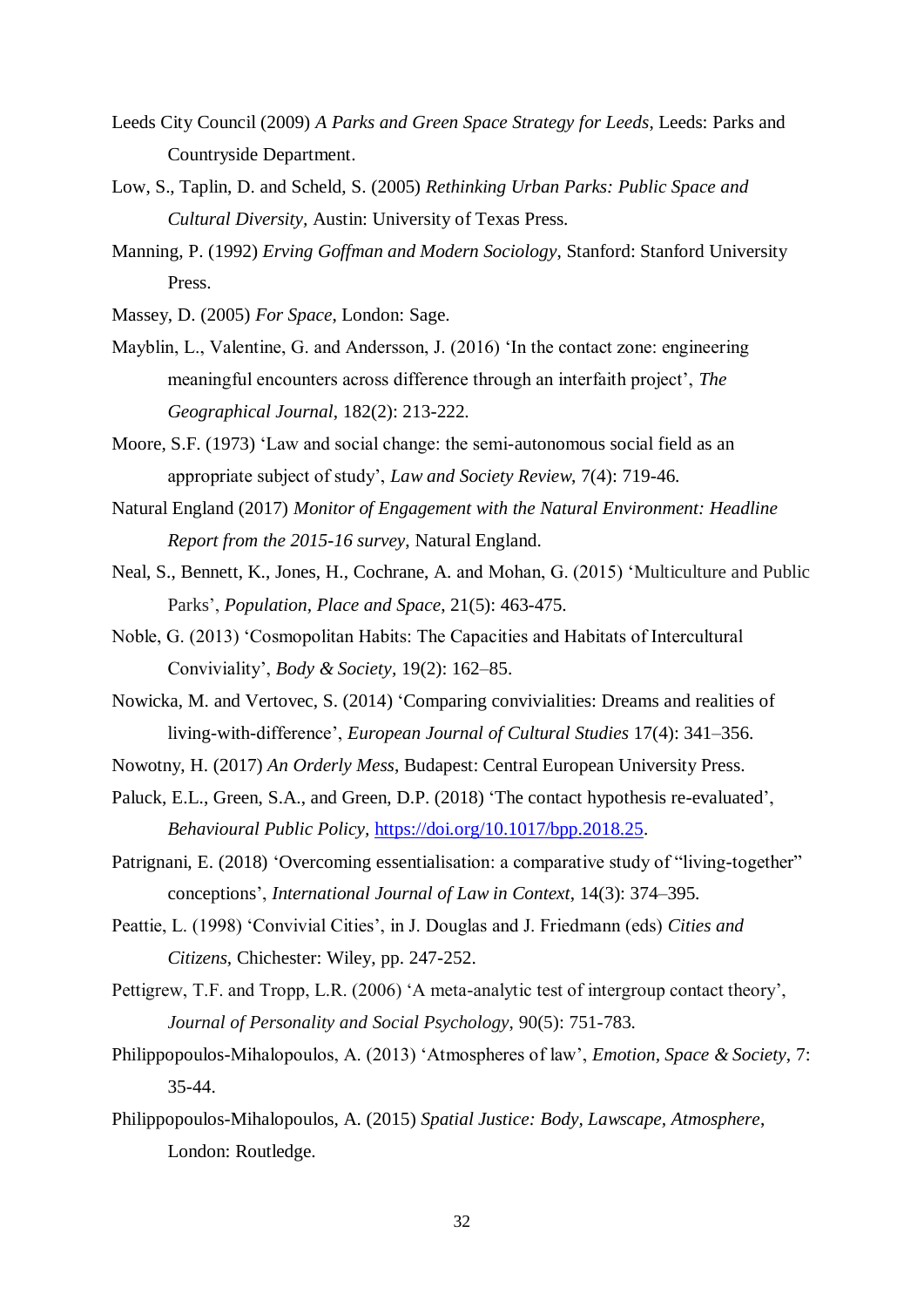- Leeds City Council (2009) *A Parks and Green Space Strategy for Leeds*, Leeds: Parks and Countryside Department.
- Low, S., Taplin, D. and Scheld, S. (2005) *Rethinking Urban Parks: Public Space and Cultural Diversity,* Austin: University of Texas Press.
- Manning, P. (1992) *Erving Goffman and Modern Sociology*, Stanford: Stanford University Press.
- Massey, D. (2005) *For Space*, London: Sage.
- Mayblin, L., Valentine, G. and Andersson, J. (2016) 'In the contact zone: engineering meaningful encounters across difference through an interfaith project', *The Geographical Journal*, 182(2): 213-222.
- Moore, S.F. (1973) 'Law and social change: the semi-autonomous social field as an appropriate subject of study', *Law and Society Review*, 7(4): 719-46.
- Natural England (2017) *Monitor of Engagement with the Natural Environment: Headline Report from the 2015-16 survey*, Natural England.
- Neal, S., Bennett, K., Jones, H., Cochrane, A. and Mohan, G. (2015) 'Multiculture and Public Parks', *Population, Place and Space*, 21(5): 463-475.
- Noble, G. (2013) 'Cosmopolitan Habits: The Capacities and Habitats of Intercultural Conviviality', *Body & Society,* 19(2): 162–85.
- Nowicka, M. and Vertovec, S. (2014) 'Comparing convivialities: Dreams and realities of living-with-difference', *European Journal of Cultural Studies* 17(4): 341–356.
- Nowotny, H. (2017) *An Orderly Mess*, Budapest: Central European University Press.
- Paluck, E.L., Green, S.A., and Green, D.P. (2018) 'The contact hypothesis re-evaluated', *Behavioural Public Policy,* [https://doi.org/10.1017/bpp.2018.25.](https://doi.org/10.1017/bpp.2018.25)
- Patrignani, E. (2018) 'Overcoming essentialisation: a comparative study of "living-together" conceptions', *International Journal of Law in Context*, 14(3): 374–395.
- Peattie, L. (1998) 'Convivial Cities', in J. Douglas and J. Friedmann (eds) *Cities and Citizens,* Chichester: Wiley, pp. 247-252.
- Pettigrew, T.F. and Tropp, L.R. (2006) 'A meta-analytic test of intergroup contact theory', *Journal of Personality and Social Psychology*, 90(5): 751-783.
- Philippopoulos-Mihalopoulos, A. (2013) 'Atmospheres of law', *Emotion, Space & Society*, 7: 35-44.
- Philippopoulos-Mihalopoulos, A. (2015) *Spatial Justice: Body, Lawscape, Atmosphere*, London: Routledge.